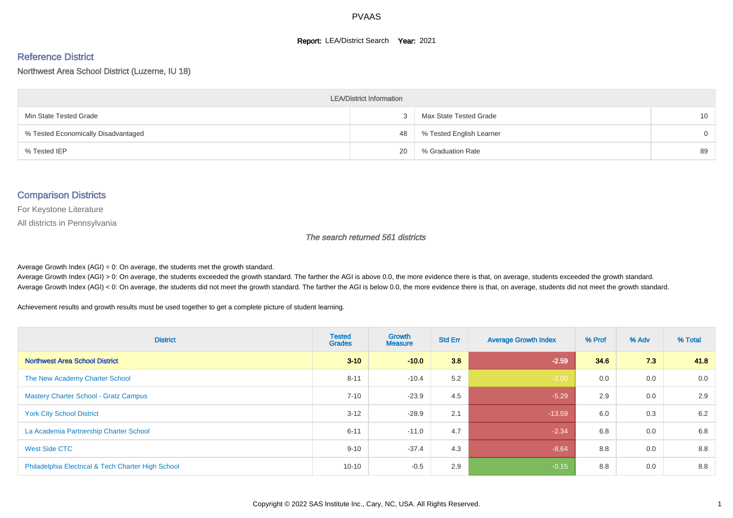#### **Report: LEA/District Search Year: 2021**

# Reference District

#### Northwest Area School District (Luzerne, IU 18)

| <b>LEA/District Information</b>     |    |                          |          |  |  |  |  |  |  |  |
|-------------------------------------|----|--------------------------|----------|--|--|--|--|--|--|--|
| Min State Tested Grade              |    | Max State Tested Grade   | 10       |  |  |  |  |  |  |  |
| % Tested Economically Disadvantaged | 48 | % Tested English Learner | $\Omega$ |  |  |  |  |  |  |  |
| % Tested IEP                        | 20 | % Graduation Rate        | 89       |  |  |  |  |  |  |  |

#### Comparison Districts

For Keystone Literature

All districts in Pennsylvania

The search returned 561 districts

Average Growth Index  $(AGI) = 0$ : On average, the students met the growth standard.

Average Growth Index (AGI) > 0: On average, the students exceeded the growth standard. The farther the AGI is above 0.0, the more evidence there is that, on average, students exceeded the growth standard. Average Growth Index (AGI) < 0: On average, the students did not meet the growth standard. The farther the AGI is below 0.0, the more evidence there is that, on average, students did not meet the growth standard.

Achievement results and growth results must be used together to get a complete picture of student learning.

| <b>District</b>                                    | <b>Tested</b><br><b>Grades</b> | <b>Growth</b><br><b>Measure</b> | <b>Std Err</b> | <b>Average Growth Index</b> | % Prof | % Adv | % Total |
|----------------------------------------------------|--------------------------------|---------------------------------|----------------|-----------------------------|--------|-------|---------|
| <b>Northwest Area School District</b>              | $3 - 10$                       | $-10.0$                         | 3.8            | $-2.59$                     | 34.6   | 7.3   | 41.8    |
| The New Academy Charter School                     | $8 - 11$                       | $-10.4$                         | 5.2            | $-2.00$                     | 0.0    | 0.0   | 0.0     |
| <b>Mastery Charter School - Gratz Campus</b>       | $7 - 10$                       | $-23.9$                         | 4.5            | $-5.29$                     | 2.9    | 0.0   | 2.9     |
| <b>York City School District</b>                   | $3 - 12$                       | $-28.9$                         | 2.1            | $-13.59$                    | 6.0    | 0.3   | 6.2     |
| La Academia Partnership Charter School             | $6 - 11$                       | $-11.0$                         | 4.7            | $-2.34$                     | 6.8    | 0.0   | 6.8     |
| West Side CTC                                      | $9 - 10$                       | $-37.4$                         | 4.3            | $-8.64$                     | 8.8    | 0.0   | 8.8     |
| Philadelphia Electrical & Tech Charter High School | $10 - 10$                      | $-0.5$                          | 2.9            | $-0.15$                     | 8.8    | 0.0   | 8.8     |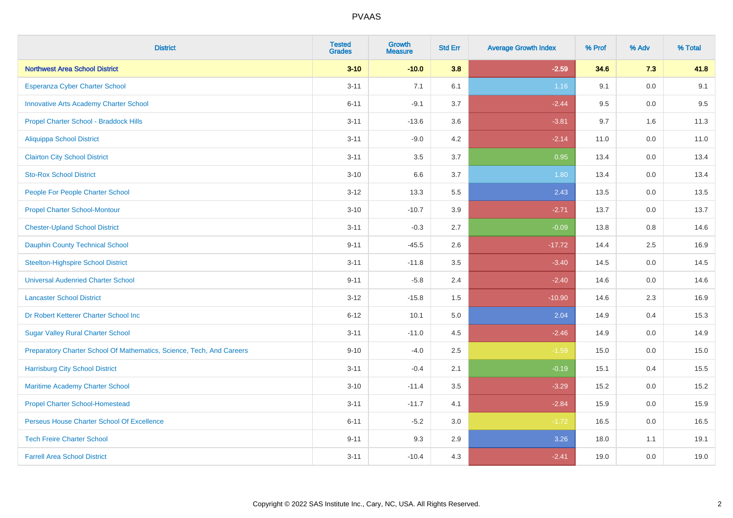| <b>District</b>                                                       | <b>Tested</b><br><b>Grades</b> | <b>Growth</b><br><b>Measure</b> | <b>Std Err</b> | <b>Average Growth Index</b> | % Prof | % Adv | % Total |
|-----------------------------------------------------------------------|--------------------------------|---------------------------------|----------------|-----------------------------|--------|-------|---------|
| <b>Northwest Area School District</b>                                 | $3 - 10$                       | $-10.0$                         | 3.8            | $-2.59$                     | 34.6   | 7.3   | 41.8    |
| Esperanza Cyber Charter School                                        | $3 - 11$                       | 7.1                             | 6.1            | 1.16                        | 9.1    | 0.0   | 9.1     |
| <b>Innovative Arts Academy Charter School</b>                         | $6 - 11$                       | $-9.1$                          | 3.7            | $-2.44$                     | 9.5    | 0.0   | 9.5     |
| Propel Charter School - Braddock Hills                                | $3 - 11$                       | $-13.6$                         | 3.6            | $-3.81$                     | 9.7    | 1.6   | 11.3    |
| <b>Aliquippa School District</b>                                      | $3 - 11$                       | $-9.0$                          | 4.2            | $-2.14$                     | 11.0   | 0.0   | 11.0    |
| <b>Clairton City School District</b>                                  | $3 - 11$                       | 3.5                             | 3.7            | 0.95                        | 13.4   | 0.0   | 13.4    |
| <b>Sto-Rox School District</b>                                        | $3 - 10$                       | 6.6                             | 3.7            | 1.80                        | 13.4   | 0.0   | 13.4    |
| People For People Charter School                                      | $3 - 12$                       | 13.3                            | 5.5            | 2.43                        | 13.5   | 0.0   | 13.5    |
| <b>Propel Charter School-Montour</b>                                  | $3 - 10$                       | $-10.7$                         | 3.9            | $-2.71$                     | 13.7   | 0.0   | 13.7    |
| <b>Chester-Upland School District</b>                                 | $3 - 11$                       | $-0.3$                          | 2.7            | $-0.09$                     | 13.8   | 0.8   | 14.6    |
| <b>Dauphin County Technical School</b>                                | $9 - 11$                       | $-45.5$                         | 2.6            | $-17.72$                    | 14.4   | 2.5   | 16.9    |
| <b>Steelton-Highspire School District</b>                             | $3 - 11$                       | $-11.8$                         | 3.5            | $-3.40$                     | 14.5   | 0.0   | 14.5    |
| <b>Universal Audenried Charter School</b>                             | $9 - 11$                       | $-5.8$                          | 2.4            | $-2.40$                     | 14.6   | 0.0   | 14.6    |
| <b>Lancaster School District</b>                                      | $3 - 12$                       | $-15.8$                         | 1.5            | $-10.90$                    | 14.6   | 2.3   | 16.9    |
| Dr Robert Ketterer Charter School Inc                                 | $6 - 12$                       | 10.1                            | 5.0            | 2.04                        | 14.9   | 0.4   | 15.3    |
| <b>Sugar Valley Rural Charter School</b>                              | $3 - 11$                       | $-11.0$                         | 4.5            | $-2.46$                     | 14.9   | 0.0   | 14.9    |
| Preparatory Charter School Of Mathematics, Science, Tech, And Careers | $9 - 10$                       | $-4.0$                          | 2.5            | $-1.59$                     | 15.0   | 0.0   | 15.0    |
| <b>Harrisburg City School District</b>                                | $3 - 11$                       | $-0.4$                          | 2.1            | $-0.19$                     | 15.1   | 0.4   | 15.5    |
| Maritime Academy Charter School                                       | $3 - 10$                       | $-11.4$                         | 3.5            | $-3.29$                     | 15.2   | 0.0   | 15.2    |
| <b>Propel Charter School-Homestead</b>                                | $3 - 11$                       | $-11.7$                         | 4.1            | $-2.84$                     | 15.9   | 0.0   | 15.9    |
| Perseus House Charter School Of Excellence                            | $6 - 11$                       | $-5.2$                          | 3.0            | $-1.72$                     | 16.5   | 0.0   | 16.5    |
| <b>Tech Freire Charter School</b>                                     | $9 - 11$                       | 9.3                             | 2.9            | 3.26                        | 18.0   | 1.1   | 19.1    |
| <b>Farrell Area School District</b>                                   | $3 - 11$                       | $-10.4$                         | 4.3            | $-2.41$                     | 19.0   | 0.0   | 19.0    |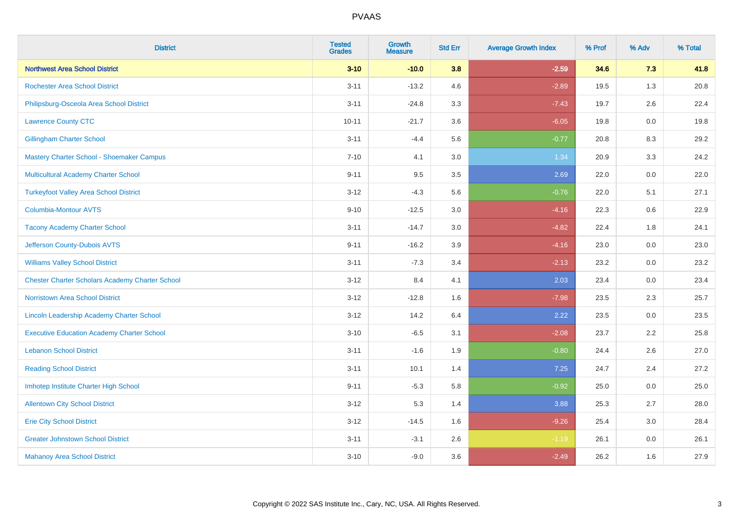| <b>District</b>                                        | <b>Tested</b><br><b>Grades</b> | <b>Growth</b><br><b>Measure</b> | <b>Std Err</b> | <b>Average Growth Index</b> | % Prof | % Adv   | % Total |
|--------------------------------------------------------|--------------------------------|---------------------------------|----------------|-----------------------------|--------|---------|---------|
| <b>Northwest Area School District</b>                  | $3 - 10$                       | $-10.0$                         | 3.8            | $-2.59$                     | 34.6   | 7.3     | 41.8    |
| <b>Rochester Area School District</b>                  | $3 - 11$                       | $-13.2$                         | 4.6            | $-2.89$                     | 19.5   | 1.3     | 20.8    |
| Philipsburg-Osceola Area School District               | $3 - 11$                       | $-24.8$                         | 3.3            | $-7.43$                     | 19.7   | 2.6     | 22.4    |
| <b>Lawrence County CTC</b>                             | $10 - 11$                      | $-21.7$                         | 3.6            | $-6.05$                     | 19.8   | $0.0\,$ | 19.8    |
| <b>Gillingham Charter School</b>                       | $3 - 11$                       | $-4.4$                          | 5.6            | $-0.77$                     | 20.8   | 8.3     | 29.2    |
| Mastery Charter School - Shoemaker Campus              | $7 - 10$                       | 4.1                             | 3.0            | 1.34                        | 20.9   | 3.3     | 24.2    |
| Multicultural Academy Charter School                   | $9 - 11$                       | 9.5                             | 3.5            | 2.69                        | 22.0   | 0.0     | 22.0    |
| <b>Turkeyfoot Valley Area School District</b>          | $3 - 12$                       | $-4.3$                          | 5.6            | $-0.76$                     | 22.0   | 5.1     | 27.1    |
| <b>Columbia-Montour AVTS</b>                           | $9 - 10$                       | $-12.5$                         | 3.0            | $-4.16$                     | 22.3   | 0.6     | 22.9    |
| <b>Tacony Academy Charter School</b>                   | $3 - 11$                       | $-14.7$                         | 3.0            | $-4.82$                     | 22.4   | 1.8     | 24.1    |
| Jefferson County-Dubois AVTS                           | $9 - 11$                       | $-16.2$                         | 3.9            | $-4.16$                     | 23.0   | 0.0     | 23.0    |
| <b>Williams Valley School District</b>                 | $3 - 11$                       | $-7.3$                          | 3.4            | $-2.13$                     | 23.2   | 0.0     | 23.2    |
| <b>Chester Charter Scholars Academy Charter School</b> | $3 - 12$                       | 8.4                             | 4.1            | 2.03                        | 23.4   | 0.0     | 23.4    |
| Norristown Area School District                        | $3 - 12$                       | $-12.8$                         | 1.6            | $-7.98$                     | 23.5   | 2.3     | 25.7    |
| Lincoln Leadership Academy Charter School              | $3 - 12$                       | 14.2                            | 6.4            | 2.22                        | 23.5   | 0.0     | 23.5    |
| <b>Executive Education Academy Charter School</b>      | $3 - 10$                       | $-6.5$                          | 3.1            | $-2.08$                     | 23.7   | 2.2     | 25.8    |
| <b>Lebanon School District</b>                         | $3 - 11$                       | $-1.6$                          | 1.9            | $-0.80$                     | 24.4   | 2.6     | 27.0    |
| <b>Reading School District</b>                         | $3 - 11$                       | 10.1                            | 1.4            | $7.25$                      | 24.7   | 2.4     | 27.2    |
| Imhotep Institute Charter High School                  | $9 - 11$                       | $-5.3$                          | 5.8            | $-0.92$                     | 25.0   | 0.0     | 25.0    |
| <b>Allentown City School District</b>                  | $3 - 12$                       | 5.3                             | 1.4            | 3.88                        | 25.3   | 2.7     | 28.0    |
| <b>Erie City School District</b>                       | $3 - 12$                       | $-14.5$                         | 1.6            | $-9.26$                     | 25.4   | 3.0     | 28.4    |
| <b>Greater Johnstown School District</b>               | $3 - 11$                       | $-3.1$                          | 2.6            | $-1.19$                     | 26.1   | 0.0     | 26.1    |
| <b>Mahanoy Area School District</b>                    | $3 - 10$                       | $-9.0$                          | 3.6            | $-2.49$                     | 26.2   | 1.6     | 27.9    |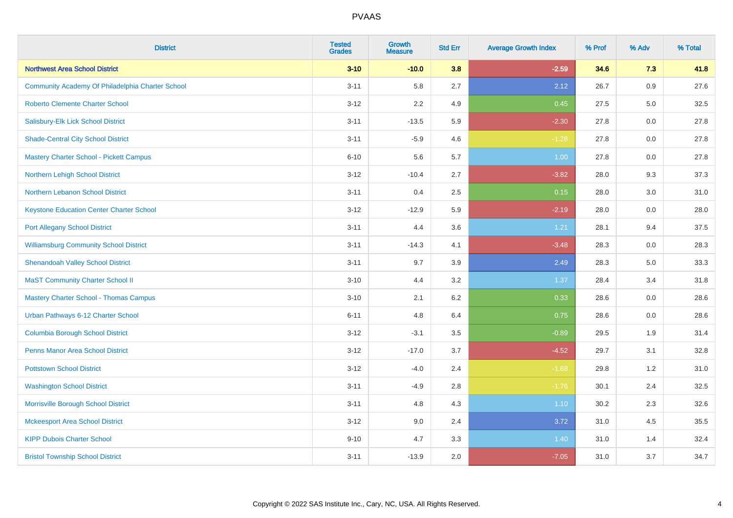| <b>District</b>                                  | <b>Tested</b><br><b>Grades</b> | <b>Growth</b><br><b>Measure</b> | <b>Std Err</b> | <b>Average Growth Index</b> | % Prof | % Adv | % Total |
|--------------------------------------------------|--------------------------------|---------------------------------|----------------|-----------------------------|--------|-------|---------|
| <b>Northwest Area School District</b>            | $3 - 10$                       | $-10.0$                         | 3.8            | $-2.59$                     | 34.6   | 7.3   | 41.8    |
| Community Academy Of Philadelphia Charter School | $3 - 11$                       | 5.8                             | 2.7            | 2.12                        | 26.7   | 0.9   | 27.6    |
| <b>Roberto Clemente Charter School</b>           | $3 - 12$                       | 2.2                             | 4.9            | 0.45                        | 27.5   | 5.0   | 32.5    |
| Salisbury-Elk Lick School District               | $3 - 11$                       | $-13.5$                         | 5.9            | $-2.30$                     | 27.8   | 0.0   | 27.8    |
| <b>Shade-Central City School District</b>        | $3 - 11$                       | $-5.9$                          | 4.6            | $-1.28$                     | 27.8   | 0.0   | 27.8    |
| <b>Mastery Charter School - Pickett Campus</b>   | $6 - 10$                       | 5.6                             | 5.7            | 1.00                        | 27.8   | 0.0   | 27.8    |
| Northern Lehigh School District                  | $3 - 12$                       | $-10.4$                         | 2.7            | $-3.82$                     | 28.0   | 9.3   | 37.3    |
| Northern Lebanon School District                 | $3 - 11$                       | 0.4                             | 2.5            | 0.15                        | 28.0   | 3.0   | 31.0    |
| <b>Keystone Education Center Charter School</b>  | $3 - 12$                       | $-12.9$                         | 5.9            | $-2.19$                     | 28.0   | 0.0   | 28.0    |
| <b>Port Allegany School District</b>             | $3 - 11$                       | 4.4                             | 3.6            | 1.21                        | 28.1   | 9.4   | 37.5    |
| <b>Williamsburg Community School District</b>    | $3 - 11$                       | $-14.3$                         | 4.1            | $-3.48$                     | 28.3   | 0.0   | 28.3    |
| <b>Shenandoah Valley School District</b>         | $3 - 11$                       | 9.7                             | 3.9            | 2.49                        | 28.3   | 5.0   | 33.3    |
| <b>MaST Community Charter School II</b>          | $3 - 10$                       | 4.4                             | 3.2            | 1.37                        | 28.4   | 3.4   | 31.8    |
| <b>Mastery Charter School - Thomas Campus</b>    | $3 - 10$                       | 2.1                             | 6.2            | 0.33                        | 28.6   | 0.0   | 28.6    |
| Urban Pathways 6-12 Charter School               | $6 - 11$                       | 4.8                             | 6.4            | 0.75                        | 28.6   | 0.0   | 28.6    |
| <b>Columbia Borough School District</b>          | $3 - 12$                       | $-3.1$                          | 3.5            | $-0.89$                     | 29.5   | 1.9   | 31.4    |
| <b>Penns Manor Area School District</b>          | $3 - 12$                       | $-17.0$                         | 3.7            | $-4.52$                     | 29.7   | 3.1   | 32.8    |
| <b>Pottstown School District</b>                 | $3 - 12$                       | $-4.0$                          | 2.4            | $-1.68$                     | 29.8   | 1.2   | 31.0    |
| <b>Washington School District</b>                | $3 - 11$                       | $-4.9$                          | 2.8            | $-1.76$                     | 30.1   | 2.4   | 32.5    |
| Morrisville Borough School District              | $3 - 11$                       | 4.8                             | 4.3            | $1.10$                      | 30.2   | 2.3   | 32.6    |
| <b>Mckeesport Area School District</b>           | $3 - 12$                       | 9.0                             | 2.4            | 3.72                        | 31.0   | 4.5   | 35.5    |
| <b>KIPP Dubois Charter School</b>                | $9 - 10$                       | 4.7                             | 3.3            | 1.40                        | 31.0   | 1.4   | 32.4    |
| <b>Bristol Township School District</b>          | $3 - 11$                       | $-13.9$                         | 2.0            | $-7.05$                     | 31.0   | 3.7   | 34.7    |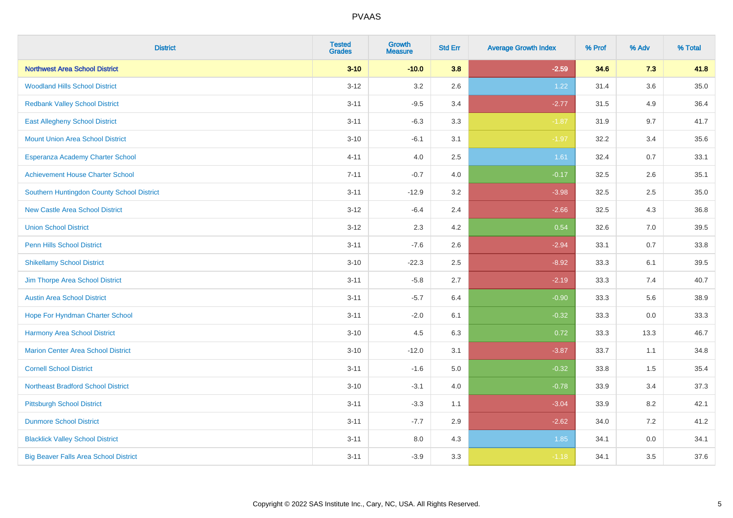| <b>District</b>                              | <b>Tested</b><br><b>Grades</b> | <b>Growth</b><br><b>Measure</b> | <b>Std Err</b> | <b>Average Growth Index</b> | % Prof | % Adv   | % Total |
|----------------------------------------------|--------------------------------|---------------------------------|----------------|-----------------------------|--------|---------|---------|
| <b>Northwest Area School District</b>        | $3 - 10$                       | $-10.0$                         | 3.8            | $-2.59$                     | 34.6   | 7.3     | 41.8    |
| <b>Woodland Hills School District</b>        | $3 - 12$                       | 3.2                             | 2.6            | 1.22                        | 31.4   | $3.6\,$ | 35.0    |
| <b>Redbank Valley School District</b>        | $3 - 11$                       | $-9.5$                          | 3.4            | $-2.77$                     | 31.5   | 4.9     | 36.4    |
| <b>East Allegheny School District</b>        | $3 - 11$                       | $-6.3$                          | 3.3            | $-1.87$                     | 31.9   | 9.7     | 41.7    |
| <b>Mount Union Area School District</b>      | $3 - 10$                       | $-6.1$                          | 3.1            | $-1.97$                     | 32.2   | 3.4     | 35.6    |
| Esperanza Academy Charter School             | $4 - 11$                       | 4.0                             | 2.5            | 1.61                        | 32.4   | 0.7     | 33.1    |
| <b>Achievement House Charter School</b>      | $7 - 11$                       | $-0.7$                          | 4.0            | $-0.17$                     | 32.5   | 2.6     | 35.1    |
| Southern Huntingdon County School District   | $3 - 11$                       | $-12.9$                         | 3.2            | $-3.98$                     | 32.5   | 2.5     | 35.0    |
| <b>New Castle Area School District</b>       | $3 - 12$                       | $-6.4$                          | 2.4            | $-2.66$                     | 32.5   | 4.3     | 36.8    |
| <b>Union School District</b>                 | $3 - 12$                       | 2.3                             | 4.2            | 0.54                        | 32.6   | 7.0     | 39.5    |
| <b>Penn Hills School District</b>            | $3 - 11$                       | $-7.6$                          | 2.6            | $-2.94$                     | 33.1   | 0.7     | 33.8    |
| <b>Shikellamy School District</b>            | $3 - 10$                       | $-22.3$                         | 2.5            | $-8.92$                     | 33.3   | 6.1     | 39.5    |
| Jim Thorpe Area School District              | $3 - 11$                       | $-5.8$                          | 2.7            | $-2.19$                     | 33.3   | 7.4     | 40.7    |
| <b>Austin Area School District</b>           | $3 - 11$                       | $-5.7$                          | 6.4            | $-0.90$                     | 33.3   | 5.6     | 38.9    |
| Hope For Hyndman Charter School              | $3 - 11$                       | $-2.0$                          | 6.1            | $-0.32$                     | 33.3   | 0.0     | 33.3    |
| <b>Harmony Area School District</b>          | $3 - 10$                       | 4.5                             | 6.3            | 0.72                        | 33.3   | 13.3    | 46.7    |
| <b>Marion Center Area School District</b>    | $3 - 10$                       | $-12.0$                         | 3.1            | $-3.87$                     | 33.7   | 1.1     | 34.8    |
| <b>Cornell School District</b>               | $3 - 11$                       | $-1.6$                          | 5.0            | $-0.32$                     | 33.8   | 1.5     | 35.4    |
| <b>Northeast Bradford School District</b>    | $3 - 10$                       | $-3.1$                          | 4.0            | $-0.78$                     | 33.9   | 3.4     | 37.3    |
| <b>Pittsburgh School District</b>            | $3 - 11$                       | $-3.3$                          | 1.1            | $-3.04$                     | 33.9   | 8.2     | 42.1    |
| <b>Dunmore School District</b>               | $3 - 11$                       | $-7.7$                          | 2.9            | $-2.62$                     | 34.0   | 7.2     | 41.2    |
| <b>Blacklick Valley School District</b>      | $3 - 11$                       | 8.0                             | 4.3            | 1.85                        | 34.1   | 0.0     | 34.1    |
| <b>Big Beaver Falls Area School District</b> | $3 - 11$                       | $-3.9$                          | 3.3            | $-1.18$                     | 34.1   | 3.5     | 37.6    |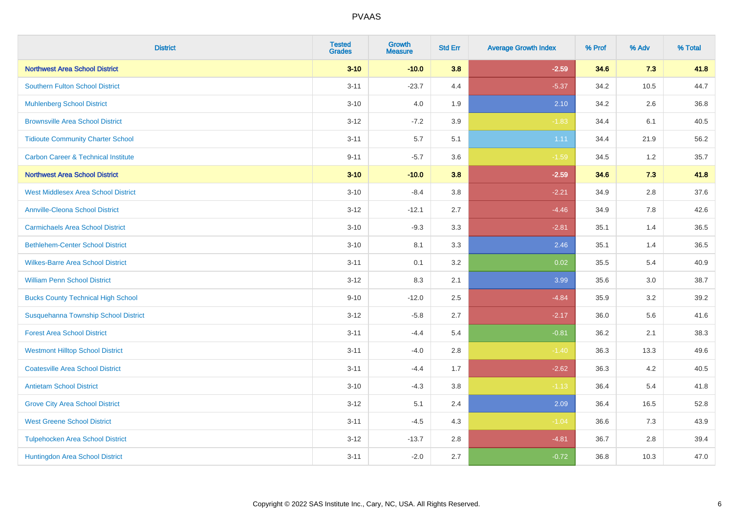| <b>District</b>                                | <b>Tested</b><br><b>Grades</b> | <b>Growth</b><br><b>Measure</b> | <b>Std Err</b> | <b>Average Growth Index</b> | % Prof | % Adv | % Total |
|------------------------------------------------|--------------------------------|---------------------------------|----------------|-----------------------------|--------|-------|---------|
| <b>Northwest Area School District</b>          | $3 - 10$                       | $-10.0$                         | 3.8            | $-2.59$                     | 34.6   | 7.3   | 41.8    |
| <b>Southern Fulton School District</b>         | $3 - 11$                       | $-23.7$                         | 4.4            | $-5.37$                     | 34.2   | 10.5  | 44.7    |
| <b>Muhlenberg School District</b>              | $3 - 10$                       | 4.0                             | 1.9            | 2.10                        | 34.2   | 2.6   | 36.8    |
| <b>Brownsville Area School District</b>        | $3 - 12$                       | $-7.2$                          | 3.9            | $-1.83$                     | 34.4   | 6.1   | 40.5    |
| <b>Tidioute Community Charter School</b>       | $3 - 11$                       | 5.7                             | 5.1            | 1.11                        | 34.4   | 21.9  | 56.2    |
| <b>Carbon Career &amp; Technical Institute</b> | $9 - 11$                       | $-5.7$                          | 3.6            | $-1.59$                     | 34.5   | 1.2   | 35.7    |
| <b>Northwest Area School District</b>          | $3 - 10$                       | $-10.0$                         | 3.8            | $-2.59$                     | 34.6   | 7.3   | 41.8    |
| <b>West Middlesex Area School District</b>     | $3 - 10$                       | $-8.4$                          | 3.8            | $-2.21$                     | 34.9   | 2.8   | 37.6    |
| <b>Annville-Cleona School District</b>         | $3 - 12$                       | $-12.1$                         | 2.7            | $-4.46$                     | 34.9   | 7.8   | 42.6    |
| <b>Carmichaels Area School District</b>        | $3 - 10$                       | $-9.3$                          | 3.3            | $-2.81$                     | 35.1   | 1.4   | 36.5    |
| <b>Bethlehem-Center School District</b>        | $3 - 10$                       | 8.1                             | 3.3            | 2.46                        | 35.1   | 1.4   | 36.5    |
| <b>Wilkes-Barre Area School District</b>       | $3 - 11$                       | 0.1                             | 3.2            | 0.02                        | 35.5   | 5.4   | 40.9    |
| <b>William Penn School District</b>            | $3 - 12$                       | 8.3                             | 2.1            | 3.99                        | 35.6   | 3.0   | 38.7    |
| <b>Bucks County Technical High School</b>      | $9 - 10$                       | $-12.0$                         | 2.5            | $-4.84$                     | 35.9   | 3.2   | 39.2    |
| Susquehanna Township School District           | $3 - 12$                       | $-5.8$                          | 2.7            | $-2.17$                     | 36.0   | 5.6   | 41.6    |
| <b>Forest Area School District</b>             | $3 - 11$                       | $-4.4$                          | 5.4            | $-0.81$                     | 36.2   | 2.1   | 38.3    |
| <b>Westmont Hilltop School District</b>        | $3 - 11$                       | $-4.0$                          | 2.8            | $-1.40$                     | 36.3   | 13.3  | 49.6    |
| <b>Coatesville Area School District</b>        | $3 - 11$                       | $-4.4$                          | 1.7            | $-2.62$                     | 36.3   | 4.2   | 40.5    |
| <b>Antietam School District</b>                | $3 - 10$                       | $-4.3$                          | 3.8            | $-1.13$                     | 36.4   | 5.4   | 41.8    |
| <b>Grove City Area School District</b>         | $3 - 12$                       | 5.1                             | 2.4            | 2.09                        | 36.4   | 16.5  | 52.8    |
| <b>West Greene School District</b>             | $3 - 11$                       | $-4.5$                          | 4.3            | $-1.04$                     | 36.6   | 7.3   | 43.9    |
| <b>Tulpehocken Area School District</b>        | $3 - 12$                       | $-13.7$                         | 2.8            | $-4.81$                     | 36.7   | 2.8   | 39.4    |
| Huntingdon Area School District                | $3 - 11$                       | $-2.0$                          | 2.7            | $-0.72$                     | 36.8   | 10.3  | 47.0    |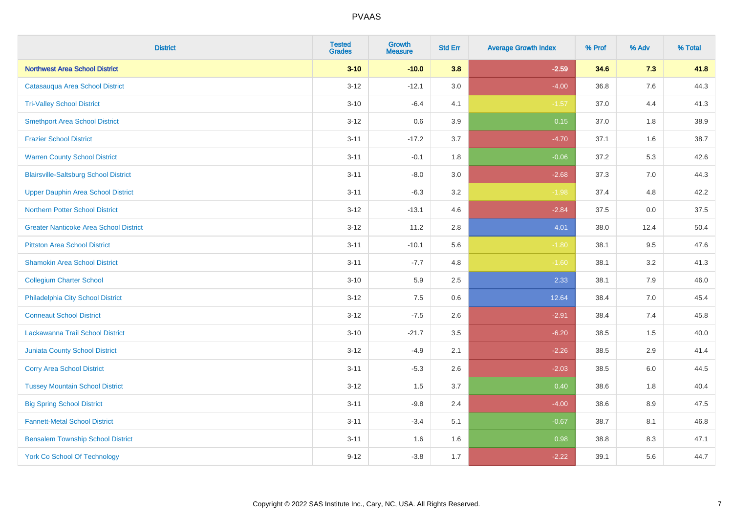| <b>District</b>                               | <b>Tested</b><br><b>Grades</b> | <b>Growth</b><br><b>Measure</b> | <b>Std Err</b> | <b>Average Growth Index</b> | % Prof | % Adv | % Total |
|-----------------------------------------------|--------------------------------|---------------------------------|----------------|-----------------------------|--------|-------|---------|
| <b>Northwest Area School District</b>         | $3 - 10$                       | $-10.0$                         | 3.8            | $-2.59$                     | 34.6   | 7.3   | 41.8    |
| Catasauqua Area School District               | $3-12$                         | $-12.1$                         | $3.0\,$        | $-4.00$                     | 36.8   | 7.6   | 44.3    |
| <b>Tri-Valley School District</b>             | $3 - 10$                       | $-6.4$                          | 4.1            | $-1.57$                     | 37.0   | 4.4   | 41.3    |
| <b>Smethport Area School District</b>         | $3 - 12$                       | 0.6                             | 3.9            | 0.15                        | 37.0   | 1.8   | 38.9    |
| <b>Frazier School District</b>                | $3 - 11$                       | $-17.2$                         | 3.7            | $-4.70$                     | 37.1   | 1.6   | 38.7    |
| <b>Warren County School District</b>          | $3 - 11$                       | $-0.1$                          | 1.8            | $-0.06$                     | 37.2   | 5.3   | 42.6    |
| <b>Blairsville-Saltsburg School District</b>  | $3 - 11$                       | $-8.0$                          | 3.0            | $-2.68$                     | 37.3   | 7.0   | 44.3    |
| <b>Upper Dauphin Area School District</b>     | $3 - 11$                       | $-6.3$                          | 3.2            | $-1.98$                     | 37.4   | 4.8   | 42.2    |
| <b>Northern Potter School District</b>        | $3 - 12$                       | $-13.1$                         | 4.6            | $-2.84$                     | 37.5   | 0.0   | 37.5    |
| <b>Greater Nanticoke Area School District</b> | $3 - 12$                       | 11.2                            | 2.8            | 4.01                        | 38.0   | 12.4  | 50.4    |
| <b>Pittston Area School District</b>          | $3 - 11$                       | $-10.1$                         | 5.6            | $-1.80$                     | 38.1   | 9.5   | 47.6    |
| <b>Shamokin Area School District</b>          | $3 - 11$                       | $-7.7$                          | 4.8            | $-1.60$                     | 38.1   | 3.2   | 41.3    |
| <b>Collegium Charter School</b>               | $3 - 10$                       | 5.9                             | 2.5            | 2.33                        | 38.1   | $7.9$ | 46.0    |
| Philadelphia City School District             | $3 - 12$                       | 7.5                             | 0.6            | 12.64                       | 38.4   | 7.0   | 45.4    |
| <b>Conneaut School District</b>               | $3 - 12$                       | $-7.5$                          | 2.6            | $-2.91$                     | 38.4   | 7.4   | 45.8    |
| Lackawanna Trail School District              | $3 - 10$                       | $-21.7$                         | $3.5\,$        | $-6.20$                     | 38.5   | $1.5$ | 40.0    |
| <b>Juniata County School District</b>         | $3 - 12$                       | $-4.9$                          | 2.1            | $-2.26$                     | 38.5   | 2.9   | 41.4    |
| <b>Corry Area School District</b>             | $3 - 11$                       | $-5.3$                          | 2.6            | $-2.03$                     | 38.5   | 6.0   | 44.5    |
| <b>Tussey Mountain School District</b>        | $3 - 12$                       | 1.5                             | 3.7            | 0.40                        | 38.6   | 1.8   | 40.4    |
| <b>Big Spring School District</b>             | $3 - 11$                       | $-9.8$                          | 2.4            | $-4.00$                     | 38.6   | 8.9   | 47.5    |
| <b>Fannett-Metal School District</b>          | $3 - 11$                       | $-3.4$                          | 5.1            | $-0.67$                     | 38.7   | 8.1   | 46.8    |
| <b>Bensalem Township School District</b>      | $3 - 11$                       | 1.6                             | 1.6            | 0.98                        | 38.8   | 8.3   | 47.1    |
| <b>York Co School Of Technology</b>           | $9 - 12$                       | $-3.8$                          | 1.7            | $-2.22$                     | 39.1   | 5.6   | 44.7    |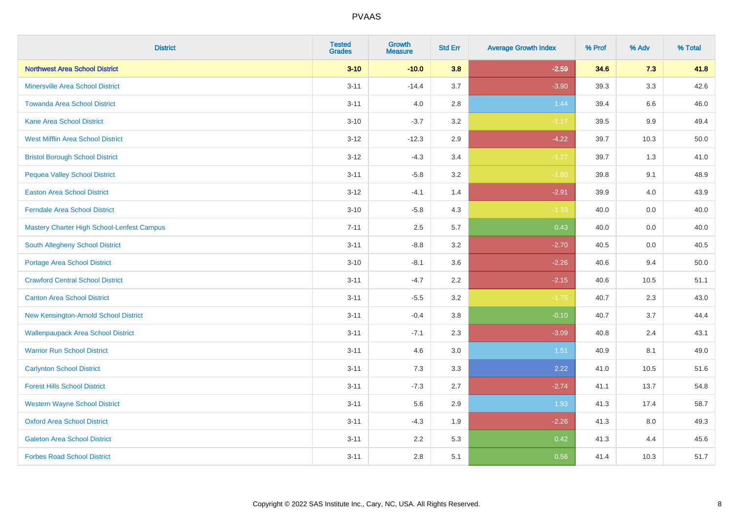| <b>District</b>                            | <b>Tested</b><br><b>Grades</b> | <b>Growth</b><br><b>Measure</b> | <b>Std Err</b> | <b>Average Growth Index</b> | % Prof | % Adv   | % Total |
|--------------------------------------------|--------------------------------|---------------------------------|----------------|-----------------------------|--------|---------|---------|
| <b>Northwest Area School District</b>      | $3 - 10$                       | $-10.0$                         | 3.8            | $-2.59$                     | 34.6   | 7.3     | 41.8    |
| <b>Minersville Area School District</b>    | $3 - 11$                       | $-14.4$                         | 3.7            | $-3.90$                     | 39.3   | 3.3     | 42.6    |
| <b>Towanda Area School District</b>        | $3 - 11$                       | 4.0                             | 2.8            | 1.44                        | 39.4   | 6.6     | 46.0    |
| Kane Area School District                  | $3 - 10$                       | $-3.7$                          | $3.2\,$        | $-1.17$                     | 39.5   | $9.9\,$ | 49.4    |
| <b>West Mifflin Area School District</b>   | $3 - 12$                       | $-12.3$                         | 2.9            | $-4.22$                     | 39.7   | 10.3    | 50.0    |
| <b>Bristol Borough School District</b>     | $3 - 12$                       | $-4.3$                          | 3.4            | $-1.27$                     | 39.7   | 1.3     | 41.0    |
| <b>Pequea Valley School District</b>       | $3 - 11$                       | $-5.8$                          | 3.2            | $-1.80$                     | 39.8   | 9.1     | 48.9    |
| <b>Easton Area School District</b>         | $3 - 12$                       | $-4.1$                          | 1.4            | $-2.91$                     | 39.9   | 4.0     | 43.9    |
| <b>Ferndale Area School District</b>       | $3 - 10$                       | $-5.8$                          | 4.3            | $-1.33$                     | 40.0   | 0.0     | 40.0    |
| Mastery Charter High School-Lenfest Campus | $7 - 11$                       | $2.5\,$                         | 5.7            | 0.43                        | 40.0   | 0.0     | 40.0    |
| South Allegheny School District            | $3 - 11$                       | $-8.8$                          | 3.2            | $-2.70$                     | 40.5   | 0.0     | 40.5    |
| <b>Portage Area School District</b>        | $3 - 10$                       | $-8.1$                          | 3.6            | $-2.26$                     | 40.6   | 9.4     | 50.0    |
| <b>Crawford Central School District</b>    | $3 - 11$                       | $-4.7$                          | 2.2            | $-2.15$                     | 40.6   | 10.5    | 51.1    |
| <b>Canton Area School District</b>         | $3 - 11$                       | $-5.5$                          | 3.2            | $-1.75$                     | 40.7   | 2.3     | 43.0    |
| New Kensington-Arnold School District      | $3 - 11$                       | $-0.4$                          | 3.8            | $-0.10$                     | 40.7   | 3.7     | 44.4    |
| <b>Wallenpaupack Area School District</b>  | $3 - 11$                       | $-7.1$                          | 2.3            | $-3.09$                     | 40.8   | 2.4     | 43.1    |
| <b>Warrior Run School District</b>         | $3 - 11$                       | 4.6                             | 3.0            | 1.51                        | 40.9   | 8.1     | 49.0    |
| <b>Carlynton School District</b>           | $3 - 11$                       | 7.3                             | 3.3            | 2.22                        | 41.0   | 10.5    | 51.6    |
| <b>Forest Hills School District</b>        | $3 - 11$                       | $-7.3$                          | 2.7            | $-2.74$                     | 41.1   | 13.7    | 54.8    |
| <b>Western Wayne School District</b>       | $3 - 11$                       | 5.6                             | 2.9            | 1.93                        | 41.3   | 17.4    | 58.7    |
| <b>Oxford Area School District</b>         | $3 - 11$                       | $-4.3$                          | 1.9            | $-2.26$                     | 41.3   | 8.0     | 49.3    |
| <b>Galeton Area School District</b>        | $3 - 11$                       | 2.2                             | 5.3            | 0.42                        | 41.3   | 4.4     | 45.6    |
| <b>Forbes Road School District</b>         | $3 - 11$                       | 2.8                             | 5.1            | 0.56                        | 41.4   | 10.3    | 51.7    |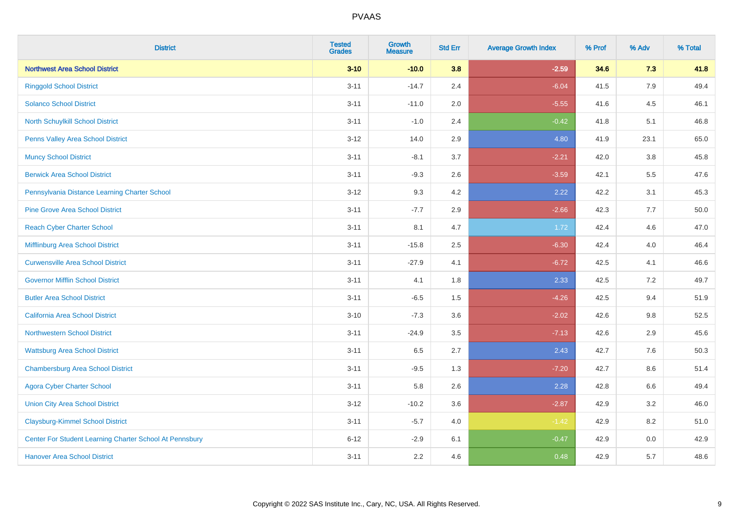| <b>District</b>                                         | <b>Tested</b><br><b>Grades</b> | <b>Growth</b><br><b>Measure</b> | <b>Std Err</b> | <b>Average Growth Index</b> | % Prof | % Adv   | % Total |
|---------------------------------------------------------|--------------------------------|---------------------------------|----------------|-----------------------------|--------|---------|---------|
| <b>Northwest Area School District</b>                   | $3 - 10$                       | $-10.0$                         | 3.8            | $-2.59$                     | 34.6   | 7.3     | 41.8    |
| <b>Ringgold School District</b>                         | $3 - 11$                       | $-14.7$                         | 2.4            | $-6.04$                     | 41.5   | 7.9     | 49.4    |
| <b>Solanco School District</b>                          | $3 - 11$                       | $-11.0$                         | 2.0            | $-5.55$                     | 41.6   | 4.5     | 46.1    |
| North Schuylkill School District                        | $3 - 11$                       | $-1.0$                          | 2.4            | $-0.42$                     | 41.8   | 5.1     | 46.8    |
| Penns Valley Area School District                       | $3 - 12$                       | 14.0                            | 2.9            | 4.80                        | 41.9   | 23.1    | 65.0    |
| <b>Muncy School District</b>                            | $3 - 11$                       | $-8.1$                          | 3.7            | $-2.21$                     | 42.0   | $3.8\,$ | 45.8    |
| <b>Berwick Area School District</b>                     | $3 - 11$                       | $-9.3$                          | 2.6            | $-3.59$                     | 42.1   | 5.5     | 47.6    |
| Pennsylvania Distance Learning Charter School           | $3 - 12$                       | 9.3                             | 4.2            | 2.22                        | 42.2   | 3.1     | 45.3    |
| <b>Pine Grove Area School District</b>                  | $3 - 11$                       | $-7.7$                          | 2.9            | $-2.66$                     | 42.3   | 7.7     | 50.0    |
| <b>Reach Cyber Charter School</b>                       | $3 - 11$                       | 8.1                             | 4.7            | 1.72                        | 42.4   | 4.6     | 47.0    |
| Mifflinburg Area School District                        | $3 - 11$                       | $-15.8$                         | 2.5            | $-6.30$                     | 42.4   | 4.0     | 46.4    |
| <b>Curwensville Area School District</b>                | $3 - 11$                       | $-27.9$                         | 4.1            | $-6.72$                     | 42.5   | 4.1     | 46.6    |
| <b>Governor Mifflin School District</b>                 | $3 - 11$                       | 4.1                             | 1.8            | 2.33                        | 42.5   | $7.2\,$ | 49.7    |
| <b>Butler Area School District</b>                      | $3 - 11$                       | $-6.5$                          | 1.5            | $-4.26$                     | 42.5   | 9.4     | 51.9    |
| California Area School District                         | $3 - 10$                       | $-7.3$                          | 3.6            | $-2.02$                     | 42.6   | 9.8     | 52.5    |
| <b>Northwestern School District</b>                     | $3 - 11$                       | $-24.9$                         | 3.5            | $-7.13$                     | 42.6   | 2.9     | 45.6    |
| <b>Wattsburg Area School District</b>                   | $3 - 11$                       | 6.5                             | 2.7            | 2.43                        | 42.7   | 7.6     | 50.3    |
| <b>Chambersburg Area School District</b>                | $3 - 11$                       | $-9.5$                          | 1.3            | $-7.20$                     | 42.7   | 8.6     | 51.4    |
| <b>Agora Cyber Charter School</b>                       | $3 - 11$                       | 5.8                             | 2.6            | 2.28                        | 42.8   | 6.6     | 49.4    |
| <b>Union City Area School District</b>                  | $3 - 12$                       | $-10.2$                         | 3.6            | $-2.87$                     | 42.9   | 3.2     | 46.0    |
| <b>Claysburg-Kimmel School District</b>                 | $3 - 11$                       | $-5.7$                          | 4.0            | $-1.42$                     | 42.9   | 8.2     | 51.0    |
| Center For Student Learning Charter School At Pennsbury | $6 - 12$                       | $-2.9$                          | 6.1            | $-0.47$                     | 42.9   | $0.0\,$ | 42.9    |
| <b>Hanover Area School District</b>                     | $3 - 11$                       | 2.2                             | 4.6            | 0.48                        | 42.9   | 5.7     | 48.6    |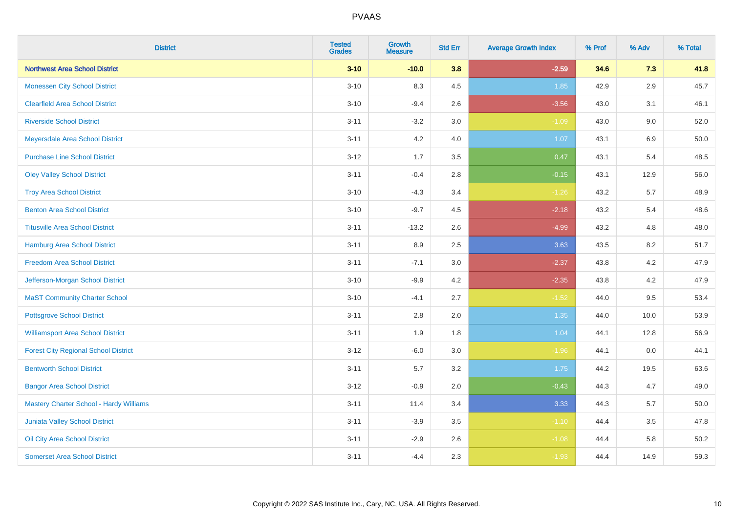| <b>District</b>                                | <b>Tested</b><br><b>Grades</b> | <b>Growth</b><br><b>Measure</b> | <b>Std Err</b> | <b>Average Growth Index</b> | % Prof | % Adv   | % Total |
|------------------------------------------------|--------------------------------|---------------------------------|----------------|-----------------------------|--------|---------|---------|
| <b>Northwest Area School District</b>          | $3 - 10$                       | $-10.0$                         | 3.8            | $-2.59$                     | 34.6   | 7.3     | 41.8    |
| <b>Monessen City School District</b>           | $3 - 10$                       | 8.3                             | 4.5            | 1.85                        | 42.9   | $2.9\,$ | 45.7    |
| <b>Clearfield Area School District</b>         | $3 - 10$                       | $-9.4$                          | 2.6            | $-3.56$                     | 43.0   | 3.1     | 46.1    |
| <b>Riverside School District</b>               | $3 - 11$                       | $-3.2$                          | 3.0            | $-1.09$                     | 43.0   | 9.0     | 52.0    |
| Meyersdale Area School District                | $3 - 11$                       | 4.2                             | 4.0            | 1.07                        | 43.1   | 6.9     | 50.0    |
| <b>Purchase Line School District</b>           | $3 - 12$                       | 1.7                             | 3.5            | 0.47                        | 43.1   | 5.4     | 48.5    |
| <b>Oley Valley School District</b>             | $3 - 11$                       | $-0.4$                          | 2.8            | $-0.15$                     | 43.1   | 12.9    | 56.0    |
| <b>Troy Area School District</b>               | $3 - 10$                       | $-4.3$                          | 3.4            | $-1.26$                     | 43.2   | 5.7     | 48.9    |
| <b>Benton Area School District</b>             | $3 - 10$                       | $-9.7$                          | 4.5            | $-2.18$                     | 43.2   | 5.4     | 48.6    |
| <b>Titusville Area School District</b>         | $3 - 11$                       | $-13.2$                         | 2.6            | $-4.99$                     | 43.2   | 4.8     | 48.0    |
| <b>Hamburg Area School District</b>            | $3 - 11$                       | 8.9                             | 2.5            | 3.63                        | 43.5   | 8.2     | 51.7    |
| <b>Freedom Area School District</b>            | $3 - 11$                       | $-7.1$                          | 3.0            | $-2.37$                     | 43.8   | 4.2     | 47.9    |
| Jefferson-Morgan School District               | $3 - 10$                       | $-9.9$                          | 4.2            | $-2.35$                     | 43.8   | 4.2     | 47.9    |
| <b>MaST Community Charter School</b>           | $3 - 10$                       | $-4.1$                          | 2.7            | $-1.52$                     | 44.0   | 9.5     | 53.4    |
| <b>Pottsgrove School District</b>              | $3 - 11$                       | 2.8                             | 2.0            | 1.35                        | 44.0   | 10.0    | 53.9    |
| <b>Williamsport Area School District</b>       | $3 - 11$                       | 1.9                             | 1.8            | 1.04                        | 44.1   | 12.8    | 56.9    |
| <b>Forest City Regional School District</b>    | $3 - 12$                       | $-6.0$                          | 3.0            | $-1.96$                     | 44.1   | $0.0\,$ | 44.1    |
| <b>Bentworth School District</b>               | $3 - 11$                       | 5.7                             | 3.2            | 1.75                        | 44.2   | 19.5    | 63.6    |
| <b>Bangor Area School District</b>             | $3-12$                         | $-0.9$                          | 2.0            | $-0.43$                     | 44.3   | 4.7     | 49.0    |
| <b>Mastery Charter School - Hardy Williams</b> | $3 - 11$                       | 11.4                            | 3.4            | 3.33                        | 44.3   | 5.7     | 50.0    |
| Juniata Valley School District                 | $3 - 11$                       | $-3.9$                          | 3.5            | $-1.10$                     | 44.4   | 3.5     | 47.8    |
| Oil City Area School District                  | $3 - 11$                       | $-2.9$                          | 2.6            | $-1.08$                     | 44.4   | 5.8     | 50.2    |
| <b>Somerset Area School District</b>           | $3 - 11$                       | $-4.4$                          | 2.3            | $-1.93$                     | 44.4   | 14.9    | 59.3    |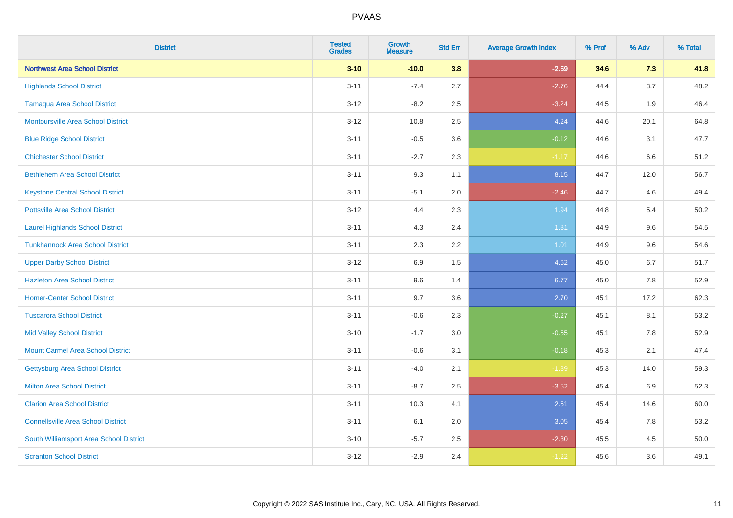| <b>District</b>                           | <b>Tested</b><br><b>Grades</b> | <b>Growth</b><br><b>Measure</b> | <b>Std Err</b> | <b>Average Growth Index</b> | % Prof | % Adv | % Total |
|-------------------------------------------|--------------------------------|---------------------------------|----------------|-----------------------------|--------|-------|---------|
| <b>Northwest Area School District</b>     | $3 - 10$                       | $-10.0$                         | 3.8            | $-2.59$                     | 34.6   | 7.3   | 41.8    |
| <b>Highlands School District</b>          | $3 - 11$                       | $-7.4$                          | 2.7            | $-2.76$                     | 44.4   | 3.7   | 48.2    |
| <b>Tamaqua Area School District</b>       | $3 - 12$                       | $-8.2$                          | 2.5            | $-3.24$                     | 44.5   | 1.9   | 46.4    |
| <b>Montoursville Area School District</b> | $3 - 12$                       | 10.8                            | 2.5            | 4.24                        | 44.6   | 20.1  | 64.8    |
| <b>Blue Ridge School District</b>         | $3 - 11$                       | $-0.5$                          | 3.6            | $-0.12$                     | 44.6   | 3.1   | 47.7    |
| <b>Chichester School District</b>         | $3 - 11$                       | $-2.7$                          | 2.3            | $-1.17$                     | 44.6   | 6.6   | 51.2    |
| <b>Bethlehem Area School District</b>     | $3 - 11$                       | 9.3                             | 1.1            | 8.15                        | 44.7   | 12.0  | 56.7    |
| <b>Keystone Central School District</b>   | $3 - 11$                       | $-5.1$                          | 2.0            | $-2.46$                     | 44.7   | 4.6   | 49.4    |
| <b>Pottsville Area School District</b>    | $3 - 12$                       | 4.4                             | 2.3            | 1.94                        | 44.8   | 5.4   | 50.2    |
| <b>Laurel Highlands School District</b>   | $3 - 11$                       | 4.3                             | 2.4            | 1.81                        | 44.9   | 9.6   | 54.5    |
| <b>Tunkhannock Area School District</b>   | $3 - 11$                       | 2.3                             | 2.2            | 1.01                        | 44.9   | 9.6   | 54.6    |
| <b>Upper Darby School District</b>        | $3 - 12$                       | 6.9                             | 1.5            | 4.62                        | 45.0   | 6.7   | 51.7    |
| <b>Hazleton Area School District</b>      | $3 - 11$                       | 9.6                             | 1.4            | 6.77                        | 45.0   | 7.8   | 52.9    |
| <b>Homer-Center School District</b>       | $3 - 11$                       | 9.7                             | 3.6            | 2.70                        | 45.1   | 17.2  | 62.3    |
| <b>Tuscarora School District</b>          | $3 - 11$                       | $-0.6$                          | 2.3            | $-0.27$                     | 45.1   | 8.1   | 53.2    |
| <b>Mid Valley School District</b>         | $3 - 10$                       | $-1.7$                          | 3.0            | $-0.55$                     | 45.1   | 7.8   | 52.9    |
| <b>Mount Carmel Area School District</b>  | $3 - 11$                       | $-0.6$                          | 3.1            | $-0.18$                     | 45.3   | 2.1   | 47.4    |
| Gettysburg Area School District           | $3 - 11$                       | $-4.0$                          | 2.1            | $-1.89$                     | 45.3   | 14.0  | 59.3    |
| <b>Milton Area School District</b>        | $3 - 11$                       | $-8.7$                          | 2.5            | $-3.52$                     | 45.4   | 6.9   | 52.3    |
| <b>Clarion Area School District</b>       | $3 - 11$                       | 10.3                            | 4.1            | 2.51                        | 45.4   | 14.6  | 60.0    |
| <b>Connellsville Area School District</b> | $3 - 11$                       | 6.1                             | 2.0            | 3.05                        | 45.4   | 7.8   | 53.2    |
| South Williamsport Area School District   | $3 - 10$                       | $-5.7$                          | 2.5            | $-2.30$                     | 45.5   | 4.5   | 50.0    |
| <b>Scranton School District</b>           | $3 - 12$                       | $-2.9$                          | 2.4            | $-1.22$                     | 45.6   | 3.6   | 49.1    |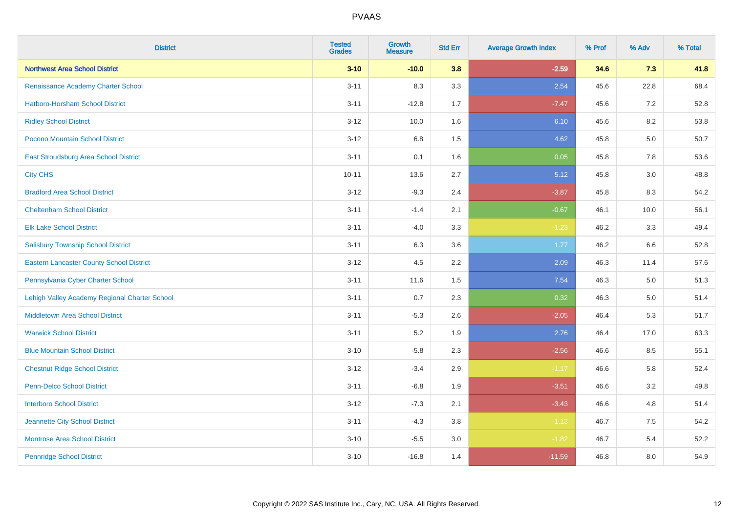| <b>District</b>                                 | <b>Tested</b><br><b>Grades</b> | <b>Growth</b><br><b>Measure</b> | <b>Std Err</b> | <b>Average Growth Index</b> | % Prof | % Adv   | % Total |
|-------------------------------------------------|--------------------------------|---------------------------------|----------------|-----------------------------|--------|---------|---------|
| <b>Northwest Area School District</b>           | $3 - 10$                       | $-10.0$                         | 3.8            | $-2.59$                     | 34.6   | 7.3     | 41.8    |
| Renaissance Academy Charter School              | $3 - 11$                       | 8.3                             | 3.3            | 2.54                        | 45.6   | 22.8    | 68.4    |
| <b>Hatboro-Horsham School District</b>          | $3 - 11$                       | $-12.8$                         | 1.7            | $-7.47$                     | 45.6   | 7.2     | 52.8    |
| <b>Ridley School District</b>                   | $3 - 12$                       | 10.0                            | 1.6            | 6.10                        | 45.6   | 8.2     | 53.8    |
| Pocono Mountain School District                 | $3 - 12$                       | 6.8                             | 1.5            | 4.62                        | 45.8   | 5.0     | 50.7    |
| East Stroudsburg Area School District           | $3 - 11$                       | 0.1                             | 1.6            | 0.05                        | 45.8   | 7.8     | 53.6    |
| <b>City CHS</b>                                 | $10 - 11$                      | 13.6                            | 2.7            | 5.12                        | 45.8   | 3.0     | 48.8    |
| <b>Bradford Area School District</b>            | $3 - 12$                       | $-9.3$                          | 2.4            | $-3.87$                     | 45.8   | 8.3     | 54.2    |
| <b>Cheltenham School District</b>               | $3 - 11$                       | $-1.4$                          | 2.1            | $-0.67$                     | 46.1   | 10.0    | 56.1    |
| <b>Elk Lake School District</b>                 | $3 - 11$                       | $-4.0$                          | 3.3            | $-1.23$                     | 46.2   | 3.3     | 49.4    |
| <b>Salisbury Township School District</b>       | $3 - 11$                       | 6.3                             | 3.6            | 1.77                        | 46.2   | 6.6     | 52.8    |
| <b>Eastern Lancaster County School District</b> | $3 - 12$                       | 4.5                             | 2.2            | 2.09                        | 46.3   | 11.4    | 57.6    |
| Pennsylvania Cyber Charter School               | $3 - 11$                       | 11.6                            | 1.5            | 7.54                        | 46.3   | 5.0     | 51.3    |
| Lehigh Valley Academy Regional Charter School   | $3 - 11$                       | 0.7                             | 2.3            | 0.32                        | 46.3   | $5.0\,$ | 51.4    |
| <b>Middletown Area School District</b>          | $3 - 11$                       | $-5.3$                          | 2.6            | $-2.05$                     | 46.4   | 5.3     | 51.7    |
| <b>Warwick School District</b>                  | $3 - 11$                       | 5.2                             | 1.9            | 2.76                        | 46.4   | 17.0    | 63.3    |
| <b>Blue Mountain School District</b>            | $3 - 10$                       | $-5.8$                          | 2.3            | $-2.56$                     | 46.6   | 8.5     | 55.1    |
| <b>Chestnut Ridge School District</b>           | $3 - 12$                       | $-3.4$                          | 2.9            | $-1.17$                     | 46.6   | 5.8     | 52.4    |
| Penn-Delco School District                      | $3 - 11$                       | $-6.8$                          | 1.9            | $-3.51$                     | 46.6   | 3.2     | 49.8    |
| <b>Interboro School District</b>                | $3 - 12$                       | $-7.3$                          | 2.1            | $-3.43$                     | 46.6   | 4.8     | 51.4    |
| Jeannette City School District                  | $3 - 11$                       | $-4.3$                          | 3.8            | $-1.13$                     | 46.7   | 7.5     | 54.2    |
| <b>Montrose Area School District</b>            | $3 - 10$                       | $-5.5$                          | 3.0            | $-1.82$                     | 46.7   | 5.4     | 52.2    |
| <b>Pennridge School District</b>                | $3 - 10$                       | $-16.8$                         | 1.4            | $-11.59$                    | 46.8   | 8.0     | 54.9    |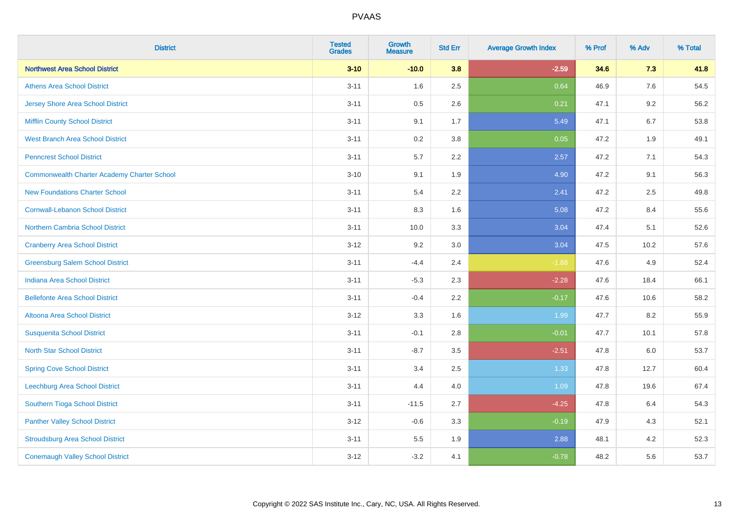| <b>District</b>                                    | <b>Tested</b><br><b>Grades</b> | <b>Growth</b><br><b>Measure</b> | <b>Std Err</b> | <b>Average Growth Index</b> | % Prof | % Adv   | % Total |
|----------------------------------------------------|--------------------------------|---------------------------------|----------------|-----------------------------|--------|---------|---------|
| <b>Northwest Area School District</b>              | $3 - 10$                       | $-10.0$                         | 3.8            | $-2.59$                     | 34.6   | 7.3     | 41.8    |
| <b>Athens Area School District</b>                 | $3 - 11$                       | 1.6                             | 2.5            | 0.64                        | 46.9   | $7.6\,$ | 54.5    |
| <b>Jersey Shore Area School District</b>           | $3 - 11$                       | 0.5                             | 2.6            | 0.21                        | 47.1   | 9.2     | 56.2    |
| <b>Mifflin County School District</b>              | $3 - 11$                       | 9.1                             | 1.7            | 5.49                        | 47.1   | 6.7     | 53.8    |
| <b>West Branch Area School District</b>            | $3 - 11$                       | 0.2                             | 3.8            | 0.05                        | 47.2   | 1.9     | 49.1    |
| <b>Penncrest School District</b>                   | $3 - 11$                       | 5.7                             | 2.2            | 2.57                        | 47.2   | 7.1     | 54.3    |
| <b>Commonwealth Charter Academy Charter School</b> | $3 - 10$                       | 9.1                             | 1.9            | 4.90                        | 47.2   | 9.1     | 56.3    |
| <b>New Foundations Charter School</b>              | $3 - 11$                       | 5.4                             | 2.2            | 2.41                        | 47.2   | 2.5     | 49.8    |
| <b>Cornwall-Lebanon School District</b>            | $3 - 11$                       | 8.3                             | 1.6            | 5.08                        | 47.2   | 8.4     | 55.6    |
| Northern Cambria School District                   | $3 - 11$                       | 10.0                            | 3.3            | 3.04                        | 47.4   | 5.1     | 52.6    |
| <b>Cranberry Area School District</b>              | $3 - 12$                       | 9.2                             | 3.0            | 3.04                        | 47.5   | 10.2    | 57.6    |
| <b>Greensburg Salem School District</b>            | $3 - 11$                       | $-4.4$                          | 2.4            | $-1.88$                     | 47.6   | 4.9     | 52.4    |
| Indiana Area School District                       | $3 - 11$                       | $-5.3$                          | 2.3            | $-2.28$                     | 47.6   | 18.4    | 66.1    |
| <b>Bellefonte Area School District</b>             | $3 - 11$                       | $-0.4$                          | 2.2            | $-0.17$                     | 47.6   | 10.6    | 58.2    |
| Altoona Area School District                       | $3 - 12$                       | 3.3                             | 1.6            | 1.99                        | 47.7   | 8.2     | 55.9    |
| <b>Susquenita School District</b>                  | $3 - 11$                       | $-0.1$                          | 2.8            | $-0.01$                     | 47.7   | 10.1    | 57.8    |
| <b>North Star School District</b>                  | $3 - 11$                       | $-8.7$                          | 3.5            | $-2.51$                     | 47.8   | $6.0\,$ | 53.7    |
| <b>Spring Cove School District</b>                 | $3 - 11$                       | 3.4                             | 2.5            | 1.33                        | 47.8   | 12.7    | 60.4    |
| <b>Leechburg Area School District</b>              | $3 - 11$                       | 4.4                             | 4.0            | 1.09                        | 47.8   | 19.6    | 67.4    |
| Southern Tioga School District                     | $3 - 11$                       | $-11.5$                         | 2.7            | $-4.25$                     | 47.8   | 6.4     | 54.3    |
| <b>Panther Valley School District</b>              | $3 - 12$                       | $-0.6$                          | 3.3            | $-0.19$                     | 47.9   | 4.3     | 52.1    |
| <b>Stroudsburg Area School District</b>            | $3 - 11$                       | 5.5                             | 1.9            | 2.88                        | 48.1   | 4.2     | 52.3    |
| <b>Conemaugh Valley School District</b>            | $3 - 12$                       | $-3.2$                          | 4.1            | $-0.78$                     | 48.2   | 5.6     | 53.7    |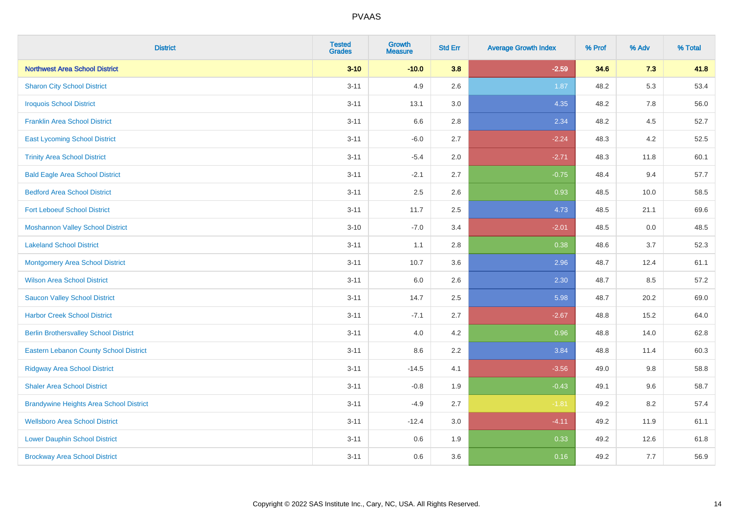| <b>District</b>                                | <b>Tested</b><br><b>Grades</b> | <b>Growth</b><br><b>Measure</b> | <b>Std Err</b> | <b>Average Growth Index</b> | % Prof | % Adv | % Total |
|------------------------------------------------|--------------------------------|---------------------------------|----------------|-----------------------------|--------|-------|---------|
| <b>Northwest Area School District</b>          | $3 - 10$                       | $-10.0$                         | 3.8            | $-2.59$                     | 34.6   | 7.3   | 41.8    |
| <b>Sharon City School District</b>             | $3 - 11$                       | 4.9                             | 2.6            | 1.87                        | 48.2   | 5.3   | 53.4    |
| <b>Iroquois School District</b>                | $3 - 11$                       | 13.1                            | 3.0            | 4.35                        | 48.2   | 7.8   | 56.0    |
| <b>Franklin Area School District</b>           | $3 - 11$                       | 6.6                             | 2.8            | 2.34                        | 48.2   | 4.5   | 52.7    |
| <b>East Lycoming School District</b>           | $3 - 11$                       | $-6.0$                          | 2.7            | $-2.24$                     | 48.3   | 4.2   | 52.5    |
| <b>Trinity Area School District</b>            | $3 - 11$                       | $-5.4$                          | 2.0            | $-2.71$                     | 48.3   | 11.8  | 60.1    |
| <b>Bald Eagle Area School District</b>         | $3 - 11$                       | $-2.1$                          | 2.7            | $-0.75$                     | 48.4   | 9.4   | 57.7    |
| <b>Bedford Area School District</b>            | $3 - 11$                       | 2.5                             | 2.6            | 0.93                        | 48.5   | 10.0  | 58.5    |
| <b>Fort Leboeuf School District</b>            | $3 - 11$                       | 11.7                            | 2.5            | 4.73                        | 48.5   | 21.1  | 69.6    |
| <b>Moshannon Valley School District</b>        | $3 - 10$                       | $-7.0$                          | 3.4            | $-2.01$                     | 48.5   | 0.0   | 48.5    |
| <b>Lakeland School District</b>                | $3 - 11$                       | 1.1                             | 2.8            | 0.38                        | 48.6   | 3.7   | 52.3    |
| <b>Montgomery Area School District</b>         | $3 - 11$                       | 10.7                            | 3.6            | 2.96                        | 48.7   | 12.4  | 61.1    |
| <b>Wilson Area School District</b>             | $3 - 11$                       | 6.0                             | 2.6            | 2.30                        | 48.7   | 8.5   | 57.2    |
| <b>Saucon Valley School District</b>           | $3 - 11$                       | 14.7                            | 2.5            | 5.98                        | 48.7   | 20.2  | 69.0    |
| <b>Harbor Creek School District</b>            | $3 - 11$                       | $-7.1$                          | 2.7            | $-2.67$                     | 48.8   | 15.2  | 64.0    |
| <b>Berlin Brothersvalley School District</b>   | $3 - 11$                       | 4.0                             | 4.2            | 0.96                        | 48.8   | 14.0  | 62.8    |
| <b>Eastern Lebanon County School District</b>  | $3 - 11$                       | 8.6                             | 2.2            | 3.84                        | 48.8   | 11.4  | 60.3    |
| <b>Ridgway Area School District</b>            | $3 - 11$                       | $-14.5$                         | 4.1            | $-3.56$                     | 49.0   | 9.8   | 58.8    |
| <b>Shaler Area School District</b>             | $3 - 11$                       | $-0.8$                          | 1.9            | $-0.43$                     | 49.1   | 9.6   | 58.7    |
| <b>Brandywine Heights Area School District</b> | $3 - 11$                       | $-4.9$                          | 2.7            | $-1.81$                     | 49.2   | 8.2   | 57.4    |
| <b>Wellsboro Area School District</b>          | $3 - 11$                       | $-12.4$                         | 3.0            | $-4.11$                     | 49.2   | 11.9  | 61.1    |
| <b>Lower Dauphin School District</b>           | $3 - 11$                       | 0.6                             | 1.9            | 0.33                        | 49.2   | 12.6  | 61.8    |
| <b>Brockway Area School District</b>           | $3 - 11$                       | 0.6                             | 3.6            | 0.16                        | 49.2   | 7.7   | 56.9    |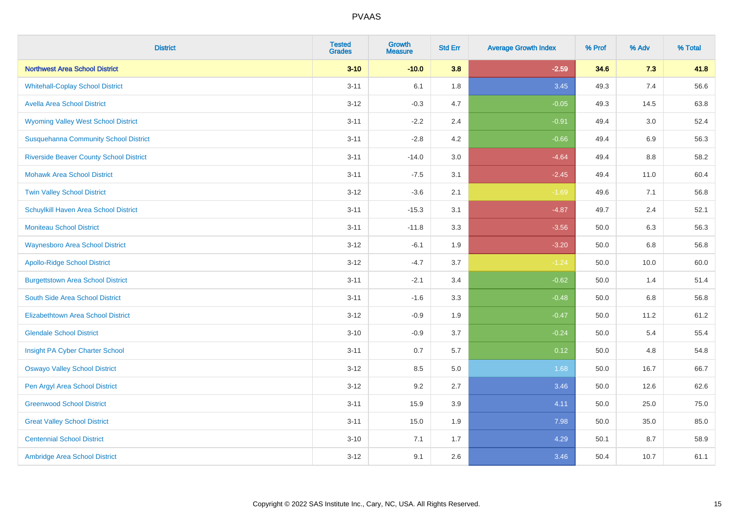| <b>District</b>                                | <b>Tested</b><br><b>Grades</b> | <b>Growth</b><br><b>Measure</b> | <b>Std Err</b> | <b>Average Growth Index</b> | % Prof | % Adv | % Total |
|------------------------------------------------|--------------------------------|---------------------------------|----------------|-----------------------------|--------|-------|---------|
| <b>Northwest Area School District</b>          | $3 - 10$                       | $-10.0$                         | 3.8            | $-2.59$                     | 34.6   | 7.3   | 41.8    |
| <b>Whitehall-Coplay School District</b>        | $3 - 11$                       | 6.1                             | 1.8            | 3.45                        | 49.3   | 7.4   | 56.6    |
| <b>Avella Area School District</b>             | $3 - 12$                       | $-0.3$                          | 4.7            | $-0.05$                     | 49.3   | 14.5  | 63.8    |
| <b>Wyoming Valley West School District</b>     | $3 - 11$                       | $-2.2$                          | 2.4            | $-0.91$                     | 49.4   | 3.0   | 52.4    |
| <b>Susquehanna Community School District</b>   | $3 - 11$                       | $-2.8$                          | 4.2            | $-0.66$                     | 49.4   | 6.9   | 56.3    |
| <b>Riverside Beaver County School District</b> | $3 - 11$                       | $-14.0$                         | 3.0            | $-4.64$                     | 49.4   | 8.8   | 58.2    |
| <b>Mohawk Area School District</b>             | $3 - 11$                       | $-7.5$                          | 3.1            | $-2.45$                     | 49.4   | 11.0  | 60.4    |
| <b>Twin Valley School District</b>             | $3 - 12$                       | $-3.6$                          | 2.1            | $-1.69$                     | 49.6   | 7.1   | 56.8    |
| Schuylkill Haven Area School District          | $3 - 11$                       | $-15.3$                         | 3.1            | $-4.87$                     | 49.7   | 2.4   | 52.1    |
| <b>Moniteau School District</b>                | $3 - 11$                       | $-11.8$                         | 3.3            | $-3.56$                     | 50.0   | 6.3   | 56.3    |
| <b>Waynesboro Area School District</b>         | $3 - 12$                       | $-6.1$                          | 1.9            | $-3.20$                     | 50.0   | 6.8   | 56.8    |
| <b>Apollo-Ridge School District</b>            | $3 - 12$                       | $-4.7$                          | 3.7            | $-1.24$                     | 50.0   | 10.0  | 60.0    |
| <b>Burgettstown Area School District</b>       | $3 - 11$                       | $-2.1$                          | 3.4            | $-0.62$                     | 50.0   | 1.4   | 51.4    |
| South Side Area School District                | $3 - 11$                       | $-1.6$                          | 3.3            | $-0.48$                     | 50.0   | 6.8   | 56.8    |
| <b>Elizabethtown Area School District</b>      | $3 - 12$                       | $-0.9$                          | 1.9            | $-0.47$                     | 50.0   | 11.2  | 61.2    |
| <b>Glendale School District</b>                | $3 - 10$                       | $-0.9$                          | 3.7            | $-0.24$                     | 50.0   | 5.4   | 55.4    |
| Insight PA Cyber Charter School                | $3 - 11$                       | 0.7                             | 5.7            | 0.12                        | 50.0   | 4.8   | 54.8    |
| <b>Oswayo Valley School District</b>           | $3 - 12$                       | 8.5                             | 5.0            | 1.68                        | 50.0   | 16.7  | 66.7    |
| Pen Argyl Area School District                 | $3 - 12$                       | 9.2                             | 2.7            | 3.46                        | 50.0   | 12.6  | 62.6    |
| <b>Greenwood School District</b>               | $3 - 11$                       | 15.9                            | 3.9            | 4.11                        | 50.0   | 25.0  | 75.0    |
| <b>Great Valley School District</b>            | $3 - 11$                       | 15.0                            | 1.9            | 7.98                        | 50.0   | 35.0  | 85.0    |
| <b>Centennial School District</b>              | $3 - 10$                       | 7.1                             | 1.7            | 4.29                        | 50.1   | 8.7   | 58.9    |
| Ambridge Area School District                  | $3 - 12$                       | 9.1                             | 2.6            | 3.46                        | 50.4   | 10.7  | 61.1    |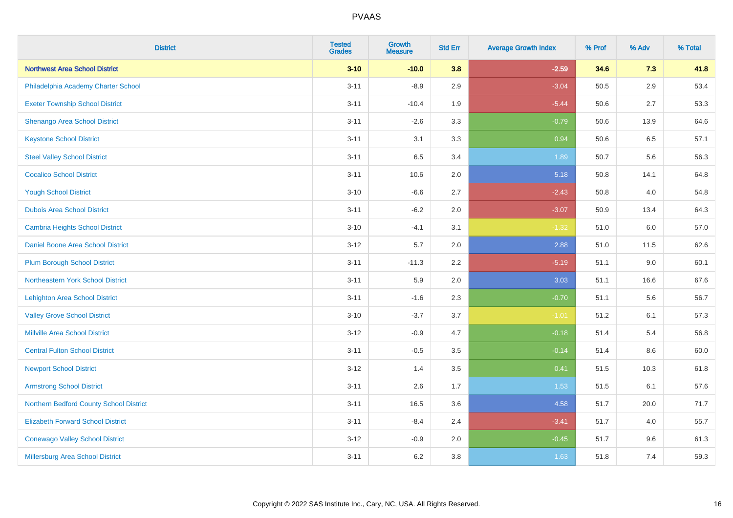| <b>District</b>                          | <b>Tested</b><br><b>Grades</b> | <b>Growth</b><br><b>Measure</b> | <b>Std Err</b> | <b>Average Growth Index</b> | % Prof | % Adv   | % Total |
|------------------------------------------|--------------------------------|---------------------------------|----------------|-----------------------------|--------|---------|---------|
| <b>Northwest Area School District</b>    | $3 - 10$                       | $-10.0$                         | 3.8            | $-2.59$                     | 34.6   | 7.3     | 41.8    |
| Philadelphia Academy Charter School      | $3 - 11$                       | $-8.9$                          | 2.9            | $-3.04$                     | 50.5   | $2.9\,$ | 53.4    |
| <b>Exeter Township School District</b>   | $3 - 11$                       | $-10.4$                         | 1.9            | $-5.44$                     | 50.6   | 2.7     | 53.3    |
| Shenango Area School District            | $3 - 11$                       | $-2.6$                          | 3.3            | $-0.79$                     | 50.6   | 13.9    | 64.6    |
| <b>Keystone School District</b>          | $3 - 11$                       | 3.1                             | 3.3            | 0.94                        | 50.6   | 6.5     | 57.1    |
| <b>Steel Valley School District</b>      | $3 - 11$                       | 6.5                             | 3.4            | 1.89                        | 50.7   | 5.6     | 56.3    |
| <b>Cocalico School District</b>          | $3 - 11$                       | 10.6                            | 2.0            | 5.18                        | 50.8   | 14.1    | 64.8    |
| <b>Yough School District</b>             | $3 - 10$                       | $-6.6$                          | 2.7            | $-2.43$                     | 50.8   | 4.0     | 54.8    |
| <b>Dubois Area School District</b>       | $3 - 11$                       | $-6.2$                          | 2.0            | $-3.07$                     | 50.9   | 13.4    | 64.3    |
| <b>Cambria Heights School District</b>   | $3 - 10$                       | $-4.1$                          | 3.1            | $-1.32$                     | 51.0   | 6.0     | 57.0    |
| Daniel Boone Area School District        | $3 - 12$                       | 5.7                             | 2.0            | 2.88                        | 51.0   | 11.5    | 62.6    |
| <b>Plum Borough School District</b>      | $3 - 11$                       | $-11.3$                         | 2.2            | $-5.19$                     | 51.1   | 9.0     | 60.1    |
| Northeastern York School District        | $3 - 11$                       | 5.9                             | 2.0            | 3.03                        | 51.1   | 16.6    | 67.6    |
| <b>Lehighton Area School District</b>    | $3 - 11$                       | $-1.6$                          | 2.3            | $-0.70$                     | 51.1   | 5.6     | 56.7    |
| <b>Valley Grove School District</b>      | $3 - 10$                       | $-3.7$                          | 3.7            | $-1.01$                     | 51.2   | 6.1     | 57.3    |
| <b>Millville Area School District</b>    | $3 - 12$                       | $-0.9$                          | 4.7            | $-0.18$                     | 51.4   | 5.4     | 56.8    |
| <b>Central Fulton School District</b>    | $3 - 11$                       | $-0.5$                          | 3.5            | $-0.14$                     | 51.4   | 8.6     | 60.0    |
| <b>Newport School District</b>           | $3 - 12$                       | 1.4                             | 3.5            | 0.41                        | 51.5   | 10.3    | 61.8    |
| <b>Armstrong School District</b>         | $3 - 11$                       | 2.6                             | 1.7            | 1.53                        | 51.5   | 6.1     | 57.6    |
| Northern Bedford County School District  | $3 - 11$                       | 16.5                            | 3.6            | 4.58                        | 51.7   | 20.0    | 71.7    |
| <b>Elizabeth Forward School District</b> | $3 - 11$                       | $-8.4$                          | 2.4            | $-3.41$                     | 51.7   | 4.0     | 55.7    |
| <b>Conewago Valley School District</b>   | $3 - 12$                       | $-0.9$                          | 2.0            | $-0.45$                     | 51.7   | 9.6     | 61.3    |
| Millersburg Area School District         | $3 - 11$                       | $6.2\,$                         | 3.8            | 1.63                        | 51.8   | 7.4     | 59.3    |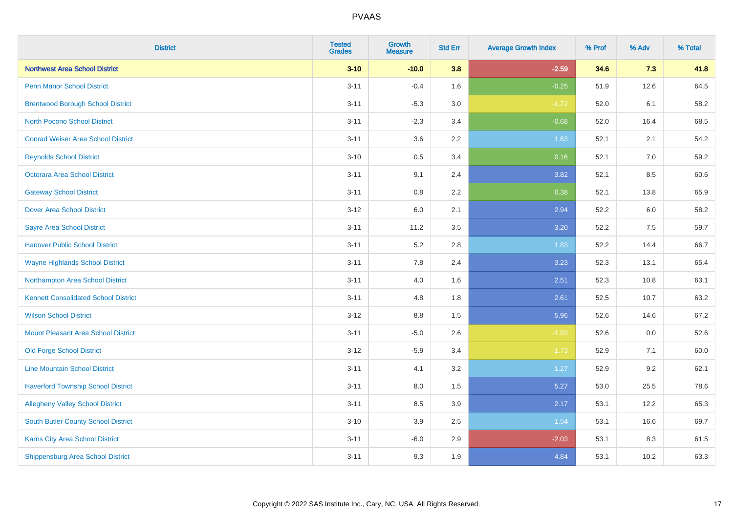| <b>District</b>                             | <b>Tested</b><br><b>Grades</b> | <b>Growth</b><br><b>Measure</b> | <b>Std Err</b> | <b>Average Growth Index</b> | % Prof | % Adv | % Total |
|---------------------------------------------|--------------------------------|---------------------------------|----------------|-----------------------------|--------|-------|---------|
| <b>Northwest Area School District</b>       | $3 - 10$                       | $-10.0$                         | 3.8            | $-2.59$                     | 34.6   | 7.3   | 41.8    |
| <b>Penn Manor School District</b>           | $3 - 11$                       | $-0.4$                          | 1.6            | $-0.25$                     | 51.9   | 12.6  | 64.5    |
| <b>Brentwood Borough School District</b>    | $3 - 11$                       | $-5.3$                          | 3.0            | $-1.72$                     | 52.0   | 6.1   | 58.2    |
| North Pocono School District                | $3 - 11$                       | $-2.3$                          | 3.4            | $-0.68$                     | 52.0   | 16.4  | 68.5    |
| <b>Conrad Weiser Area School District</b>   | $3 - 11$                       | 3.6                             | 2.2            | 1.63                        | 52.1   | 2.1   | 54.2    |
| <b>Reynolds School District</b>             | $3 - 10$                       | 0.5                             | 3.4            | 0.16                        | 52.1   | 7.0   | 59.2    |
| Octorara Area School District               | $3 - 11$                       | 9.1                             | 2.4            | 3.82                        | 52.1   | 8.5   | 60.6    |
| <b>Gateway School District</b>              | $3 - 11$                       | 0.8                             | 2.2            | 0.38                        | 52.1   | 13.8  | 65.9    |
| <b>Dover Area School District</b>           | $3 - 12$                       | 6.0                             | 2.1            | 2.94                        | 52.2   | 6.0   | 58.2    |
| <b>Sayre Area School District</b>           | $3 - 11$                       | 11.2                            | 3.5            | $3.20$                      | 52.2   | 7.5   | 59.7    |
| <b>Hanover Public School District</b>       | $3 - 11$                       | 5.2                             | 2.8            | 1.83                        | 52.2   | 14.4  | 66.7    |
| <b>Wayne Highlands School District</b>      | $3 - 11$                       | 7.8                             | 2.4            | 3.23                        | 52.3   | 13.1  | 65.4    |
| Northampton Area School District            | $3 - 11$                       | 4.0                             | 1.6            | 2.51                        | 52.3   | 10.8  | 63.1    |
| <b>Kennett Consolidated School District</b> | $3 - 11$                       | 4.8                             | 1.8            | 2.61                        | 52.5   | 10.7  | 63.2    |
| <b>Wilson School District</b>               | $3 - 12$                       | 8.8                             | 1.5            | 5.96                        | 52.6   | 14.6  | 67.2    |
| <b>Mount Pleasant Area School District</b>  | $3 - 11$                       | $-5.0$                          | 2.6            | $-1.93$                     | 52.6   | 0.0   | 52.6    |
| <b>Old Forge School District</b>            | $3 - 12$                       | $-5.9$                          | 3.4            | $-1.73$                     | 52.9   | 7.1   | 60.0    |
| <b>Line Mountain School District</b>        | $3 - 11$                       | 4.1                             | 3.2            | 1.27                        | 52.9   | 9.2   | 62.1    |
| <b>Haverford Township School District</b>   | $3 - 11$                       | 8.0                             | 1.5            | 5.27                        | 53.0   | 25.5  | 78.6    |
| <b>Allegheny Valley School District</b>     | $3 - 11$                       | 8.5                             | 3.9            | 2.17                        | 53.1   | 12.2  | 65.3    |
| South Butler County School District         | $3 - 10$                       | 3.9                             | 2.5            | 1.54                        | 53.1   | 16.6  | 69.7    |
| Karns City Area School District             | $3 - 11$                       | $-6.0$                          | 2.9            | $-2.03$                     | 53.1   | 8.3   | 61.5    |
| <b>Shippensburg Area School District</b>    | $3 - 11$                       | 9.3                             | 1.9            | 4.84                        | 53.1   | 10.2  | 63.3    |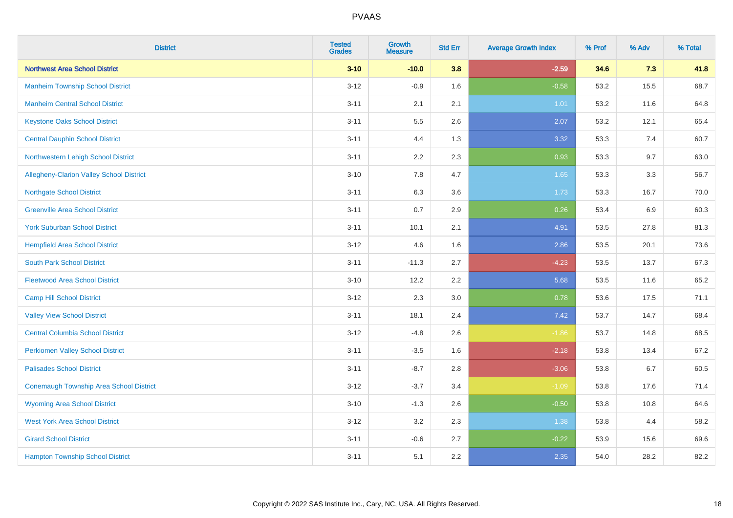| <b>District</b>                                | <b>Tested</b><br><b>Grades</b> | <b>Growth</b><br><b>Measure</b> | <b>Std Err</b> | <b>Average Growth Index</b> | % Prof | % Adv | % Total |
|------------------------------------------------|--------------------------------|---------------------------------|----------------|-----------------------------|--------|-------|---------|
| <b>Northwest Area School District</b>          | $3 - 10$                       | $-10.0$                         | 3.8            | $-2.59$                     | 34.6   | 7.3   | 41.8    |
| <b>Manheim Township School District</b>        | $3 - 12$                       | $-0.9$                          | 1.6            | $-0.58$                     | 53.2   | 15.5  | 68.7    |
| <b>Manheim Central School District</b>         | $3 - 11$                       | 2.1                             | 2.1            | 1.01                        | 53.2   | 11.6  | 64.8    |
| <b>Keystone Oaks School District</b>           | $3 - 11$                       | $5.5\,$                         | 2.6            | 2.07                        | 53.2   | 12.1  | 65.4    |
| <b>Central Dauphin School District</b>         | $3 - 11$                       | 4.4                             | 1.3            | 3.32                        | 53.3   | 7.4   | 60.7    |
| Northwestern Lehigh School District            | $3 - 11$                       | 2.2                             | 2.3            | 0.93                        | 53.3   | 9.7   | 63.0    |
| Allegheny-Clarion Valley School District       | $3 - 10$                       | 7.8                             | 4.7            | 1.65                        | 53.3   | 3.3   | 56.7    |
| <b>Northgate School District</b>               | $3 - 11$                       | 6.3                             | 3.6            | 1.73                        | 53.3   | 16.7  | 70.0    |
| <b>Greenville Area School District</b>         | $3 - 11$                       | 0.7                             | 2.9            | 0.26                        | 53.4   | 6.9   | 60.3    |
| <b>York Suburban School District</b>           | $3 - 11$                       | 10.1                            | 2.1            | 4.91                        | 53.5   | 27.8  | 81.3    |
| <b>Hempfield Area School District</b>          | $3 - 12$                       | 4.6                             | 1.6            | 2.86                        | 53.5   | 20.1  | 73.6    |
| <b>South Park School District</b>              | $3 - 11$                       | $-11.3$                         | 2.7            | $-4.23$                     | 53.5   | 13.7  | 67.3    |
| <b>Fleetwood Area School District</b>          | $3 - 10$                       | 12.2                            | 2.2            | 5.68                        | 53.5   | 11.6  | 65.2    |
| <b>Camp Hill School District</b>               | $3 - 12$                       | 2.3                             | 3.0            | 0.78                        | 53.6   | 17.5  | 71.1    |
| <b>Valley View School District</b>             | $3 - 11$                       | 18.1                            | 2.4            | 7.42                        | 53.7   | 14.7  | 68.4    |
| <b>Central Columbia School District</b>        | $3 - 12$                       | $-4.8$                          | 2.6            | $-1.86$                     | 53.7   | 14.8  | 68.5    |
| <b>Perkiomen Valley School District</b>        | $3 - 11$                       | $-3.5$                          | 1.6            | $-2.18$                     | 53.8   | 13.4  | 67.2    |
| <b>Palisades School District</b>               | $3 - 11$                       | $-8.7$                          | 2.8            | $-3.06$                     | 53.8   | 6.7   | 60.5    |
| <b>Conemaugh Township Area School District</b> | $3-12$                         | $-3.7$                          | 3.4            | $-1.09$                     | 53.8   | 17.6  | 71.4    |
| <b>Wyoming Area School District</b>            | $3 - 10$                       | $-1.3$                          | 2.6            | $-0.50$                     | 53.8   | 10.8  | 64.6    |
| <b>West York Area School District</b>          | $3 - 12$                       | 3.2                             | 2.3            | 1.38                        | 53.8   | 4.4   | 58.2    |
| <b>Girard School District</b>                  | $3 - 11$                       | $-0.6$                          | 2.7            | $-0.22$                     | 53.9   | 15.6  | 69.6    |
| <b>Hampton Township School District</b>        | $3 - 11$                       | 5.1                             | 2.2            | 2.35                        | 54.0   | 28.2  | 82.2    |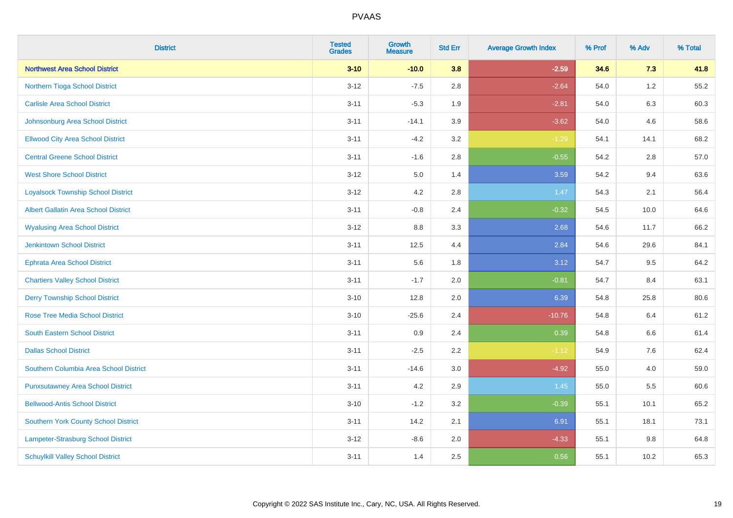| <b>District</b>                             | <b>Tested</b><br><b>Grades</b> | <b>Growth</b><br><b>Measure</b> | <b>Std Err</b> | <b>Average Growth Index</b> | % Prof | % Adv   | % Total |
|---------------------------------------------|--------------------------------|---------------------------------|----------------|-----------------------------|--------|---------|---------|
| <b>Northwest Area School District</b>       | $3 - 10$                       | $-10.0$                         | 3.8            | $-2.59$                     | 34.6   | 7.3     | 41.8    |
| Northern Tioga School District              | $3-12$                         | $-7.5$                          | $2.8\,$        | $-2.64$                     | 54.0   | $1.2\,$ | 55.2    |
| <b>Carlisle Area School District</b>        | $3 - 11$                       | $-5.3$                          | 1.9            | $-2.81$                     | 54.0   | 6.3     | 60.3    |
| Johnsonburg Area School District            | $3 - 11$                       | $-14.1$                         | 3.9            | $-3.62$                     | 54.0   | 4.6     | 58.6    |
| <b>Ellwood City Area School District</b>    | $3 - 11$                       | $-4.2$                          | 3.2            | $-1.29$                     | 54.1   | 14.1    | 68.2    |
| <b>Central Greene School District</b>       | $3 - 11$                       | $-1.6$                          | 2.8            | $-0.55$                     | 54.2   | 2.8     | 57.0    |
| <b>West Shore School District</b>           | $3 - 12$                       | 5.0                             | 1.4            | 3.59                        | 54.2   | 9.4     | 63.6    |
| <b>Loyalsock Township School District</b>   | $3 - 12$                       | 4.2                             | 2.8            | 1.47                        | 54.3   | 2.1     | 56.4    |
| <b>Albert Gallatin Area School District</b> | $3 - 11$                       | $-0.8$                          | 2.4            | $-0.32$                     | 54.5   | 10.0    | 64.6    |
| <b>Wyalusing Area School District</b>       | $3-12$                         | $8.8\,$                         | 3.3            | 2.68                        | 54.6   | 11.7    | 66.2    |
| <b>Jenkintown School District</b>           | $3 - 11$                       | 12.5                            | 4.4            | 2.84                        | 54.6   | 29.6    | 84.1    |
| <b>Ephrata Area School District</b>         | $3 - 11$                       | 5.6                             | 1.8            | 3.12                        | 54.7   | 9.5     | 64.2    |
| <b>Chartiers Valley School District</b>     | $3 - 11$                       | $-1.7$                          | 2.0            | $-0.81$                     | 54.7   | 8.4     | 63.1    |
| <b>Derry Township School District</b>       | $3 - 10$                       | 12.8                            | 2.0            | 6.39                        | 54.8   | 25.8    | 80.6    |
| <b>Rose Tree Media School District</b>      | $3 - 10$                       | $-25.6$                         | 2.4            | $-10.76$                    | 54.8   | 6.4     | 61.2    |
| <b>South Eastern School District</b>        | $3 - 11$                       | 0.9                             | 2.4            | 0.39                        | 54.8   | 6.6     | 61.4    |
| <b>Dallas School District</b>               | $3 - 11$                       | $-2.5$                          | 2.2            | $-1.12$                     | 54.9   | 7.6     | 62.4    |
| Southern Columbia Area School District      | $3 - 11$                       | $-14.6$                         | 3.0            | $-4.92$                     | 55.0   | 4.0     | 59.0    |
| <b>Punxsutawney Area School District</b>    | $3 - 11$                       | 4.2                             | 2.9            | 1.45                        | 55.0   | 5.5     | 60.6    |
| <b>Bellwood-Antis School District</b>       | $3 - 10$                       | $-1.2$                          | 3.2            | $-0.39$                     | 55.1   | 10.1    | 65.2    |
| Southern York County School District        | $3 - 11$                       | 14.2                            | 2.1            | 6.91                        | 55.1   | 18.1    | 73.1    |
| Lampeter-Strasburg School District          | $3 - 12$                       | $-8.6$                          | 2.0            | $-4.33$                     | 55.1   | $9.8\,$ | 64.8    |
| <b>Schuylkill Valley School District</b>    | $3 - 11$                       | 1.4                             | 2.5            | 0.56                        | 55.1   | 10.2    | 65.3    |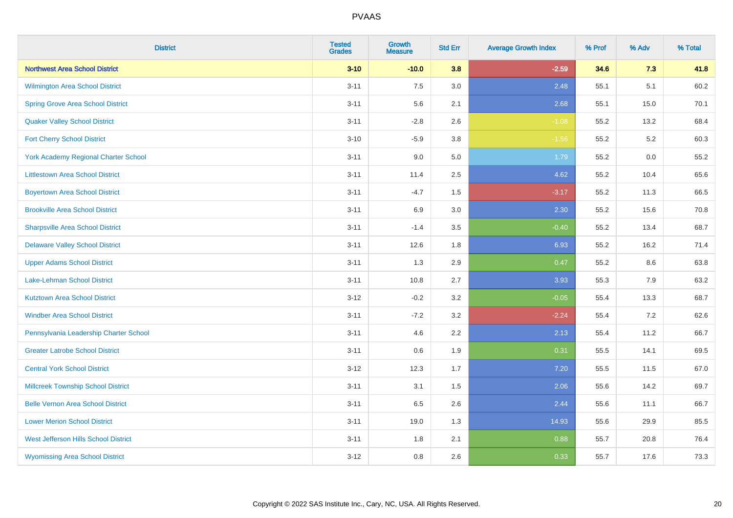| <b>District</b>                             | <b>Tested</b><br><b>Grades</b> | <b>Growth</b><br><b>Measure</b> | <b>Std Err</b> | <b>Average Growth Index</b> | % Prof | % Adv | % Total |
|---------------------------------------------|--------------------------------|---------------------------------|----------------|-----------------------------|--------|-------|---------|
| <b>Northwest Area School District</b>       | $3 - 10$                       | $-10.0$                         | 3.8            | $-2.59$                     | 34.6   | 7.3   | 41.8    |
| Wilmington Area School District             | $3 - 11$                       | 7.5                             | 3.0            | 2.48                        | 55.1   | 5.1   | 60.2    |
| <b>Spring Grove Area School District</b>    | $3 - 11$                       | 5.6                             | 2.1            | 2.68                        | 55.1   | 15.0  | 70.1    |
| <b>Quaker Valley School District</b>        | $3 - 11$                       | $-2.8$                          | 2.6            | $-1.08$                     | 55.2   | 13.2  | 68.4    |
| <b>Fort Cherry School District</b>          | $3 - 10$                       | $-5.9$                          | 3.8            | $-1.56$                     | 55.2   | 5.2   | 60.3    |
| <b>York Academy Regional Charter School</b> | $3 - 11$                       | 9.0                             | 5.0            | 1.79                        | 55.2   | 0.0   | 55.2    |
| <b>Littlestown Area School District</b>     | $3 - 11$                       | 11.4                            | 2.5            | 4.62                        | 55.2   | 10.4  | 65.6    |
| <b>Boyertown Area School District</b>       | $3 - 11$                       | $-4.7$                          | 1.5            | $-3.17$                     | 55.2   | 11.3  | 66.5    |
| <b>Brookville Area School District</b>      | $3 - 11$                       | 6.9                             | 3.0            | 2.30                        | 55.2   | 15.6  | 70.8    |
| <b>Sharpsville Area School District</b>     | $3 - 11$                       | $-1.4$                          | 3.5            | $-0.40$                     | 55.2   | 13.4  | 68.7    |
| <b>Delaware Valley School District</b>      | $3 - 11$                       | 12.6                            | 1.8            | 6.93                        | 55.2   | 16.2  | 71.4    |
| <b>Upper Adams School District</b>          | $3 - 11$                       | 1.3                             | 2.9            | 0.47                        | 55.2   | 8.6   | 63.8    |
| Lake-Lehman School District                 | $3 - 11$                       | 10.8                            | 2.7            | 3.93                        | 55.3   | $7.9$ | 63.2    |
| <b>Kutztown Area School District</b>        | $3 - 12$                       | $-0.2$                          | 3.2            | $-0.05$                     | 55.4   | 13.3  | 68.7    |
| <b>Windber Area School District</b>         | $3 - 11$                       | $-7.2$                          | 3.2            | $-2.24$                     | 55.4   | 7.2   | 62.6    |
| Pennsylvania Leadership Charter School      | $3 - 11$                       | 4.6                             | 2.2            | 2.13                        | 55.4   | 11.2  | 66.7    |
| <b>Greater Latrobe School District</b>      | $3 - 11$                       | 0.6                             | 1.9            | 0.31                        | 55.5   | 14.1  | 69.5    |
| <b>Central York School District</b>         | $3 - 12$                       | 12.3                            | 1.7            | 7.20                        | 55.5   | 11.5  | 67.0    |
| <b>Millcreek Township School District</b>   | $3 - 11$                       | 3.1                             | 1.5            | 2.06                        | 55.6   | 14.2  | 69.7    |
| <b>Belle Vernon Area School District</b>    | $3 - 11$                       | 6.5                             | 2.6            | 2.44                        | 55.6   | 11.1  | 66.7    |
| <b>Lower Merion School District</b>         | $3 - 11$                       | 19.0                            | 1.3            | 14.93                       | 55.6   | 29.9  | 85.5    |
| West Jefferson Hills School District        | $3 - 11$                       | 1.8                             | 2.1            | 0.88                        | 55.7   | 20.8  | 76.4    |
| <b>Wyomissing Area School District</b>      | $3 - 12$                       | 0.8                             | 2.6            | 0.33                        | 55.7   | 17.6  | 73.3    |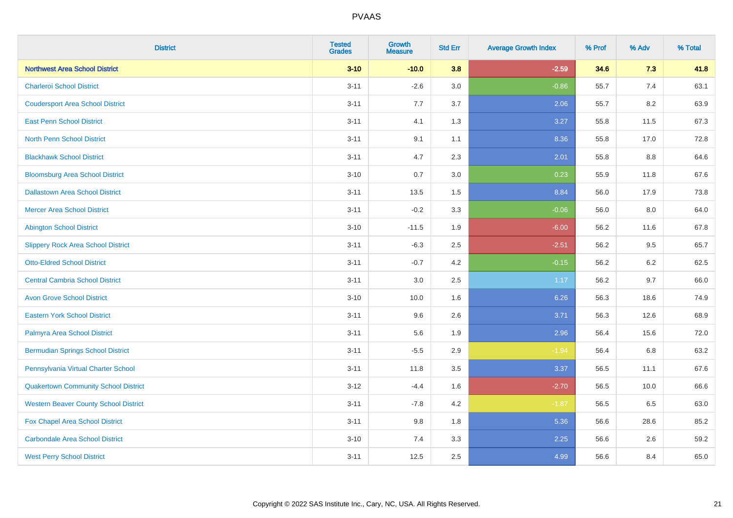| <b>District</b>                              | <b>Tested</b><br><b>Grades</b> | <b>Growth</b><br><b>Measure</b> | <b>Std Err</b> | <b>Average Growth Index</b> | % Prof | % Adv | % Total |
|----------------------------------------------|--------------------------------|---------------------------------|----------------|-----------------------------|--------|-------|---------|
| <b>Northwest Area School District</b>        | $3 - 10$                       | $-10.0$                         | 3.8            | $-2.59$                     | 34.6   | 7.3   | 41.8    |
| <b>Charleroi School District</b>             | $3 - 11$                       | $-2.6$                          | 3.0            | $-0.86$                     | 55.7   | 7.4   | 63.1    |
| <b>Coudersport Area School District</b>      | $3 - 11$                       | 7.7                             | 3.7            | 2.06                        | 55.7   | 8.2   | 63.9    |
| <b>East Penn School District</b>             | $3 - 11$                       | 4.1                             | 1.3            | 3.27                        | 55.8   | 11.5  | 67.3    |
| <b>North Penn School District</b>            | $3 - 11$                       | 9.1                             | 1.1            | 8.36                        | 55.8   | 17.0  | 72.8    |
| <b>Blackhawk School District</b>             | $3 - 11$                       | 4.7                             | 2.3            | 2.01                        | 55.8   | 8.8   | 64.6    |
| <b>Bloomsburg Area School District</b>       | $3 - 10$                       | 0.7                             | 3.0            | 0.23                        | 55.9   | 11.8  | 67.6    |
| <b>Dallastown Area School District</b>       | $3 - 11$                       | 13.5                            | 1.5            | 8.84                        | 56.0   | 17.9  | 73.8    |
| <b>Mercer Area School District</b>           | $3 - 11$                       | $-0.2$                          | 3.3            | $-0.06$                     | 56.0   | 8.0   | 64.0    |
| <b>Abington School District</b>              | $3 - 10$                       | $-11.5$                         | 1.9            | $-6.00$                     | 56.2   | 11.6  | 67.8    |
| <b>Slippery Rock Area School District</b>    | $3 - 11$                       | $-6.3$                          | 2.5            | $-2.51$                     | 56.2   | 9.5   | 65.7    |
| <b>Otto-Eldred School District</b>           | $3 - 11$                       | $-0.7$                          | 4.2            | $-0.15$                     | 56.2   | 6.2   | 62.5    |
| <b>Central Cambria School District</b>       | $3 - 11$                       | $3.0\,$                         | 2.5            | 1.17                        | 56.2   | 9.7   | 66.0    |
| <b>Avon Grove School District</b>            | $3 - 10$                       | 10.0                            | 1.6            | 6.26                        | 56.3   | 18.6  | 74.9    |
| <b>Eastern York School District</b>          | $3 - 11$                       | 9.6                             | 2.6            | 3.71                        | 56.3   | 12.6  | 68.9    |
| Palmyra Area School District                 | $3 - 11$                       | 5.6                             | 1.9            | 2.96                        | 56.4   | 15.6  | 72.0    |
| <b>Bermudian Springs School District</b>     | $3 - 11$                       | $-5.5$                          | 2.9            | $-1.94$                     | 56.4   | 6.8   | 63.2    |
| Pennsylvania Virtual Charter School          | $3 - 11$                       | 11.8                            | 3.5            | 3.37                        | 56.5   | 11.1  | 67.6    |
| <b>Quakertown Community School District</b>  | $3 - 12$                       | $-4.4$                          | 1.6            | $-2.70$                     | 56.5   | 10.0  | 66.6    |
| <b>Western Beaver County School District</b> | $3 - 11$                       | $-7.8$                          | 4.2            | $-1.87$                     | 56.5   | 6.5   | 63.0    |
| Fox Chapel Area School District              | $3 - 11$                       | 9.8                             | 1.8            | 5.36                        | 56.6   | 28.6  | 85.2    |
| <b>Carbondale Area School District</b>       | $3 - 10$                       | 7.4                             | 3.3            | 2.25                        | 56.6   | 2.6   | 59.2    |
| <b>West Perry School District</b>            | $3 - 11$                       | 12.5                            | 2.5            | 4.99                        | 56.6   | 8.4   | 65.0    |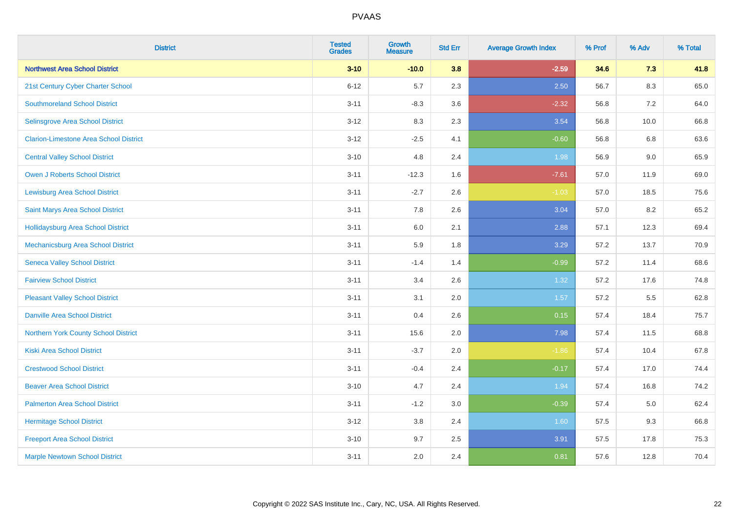| <b>District</b>                               | <b>Tested</b><br><b>Grades</b> | <b>Growth</b><br><b>Measure</b> | <b>Std Err</b> | <b>Average Growth Index</b> | % Prof | % Adv   | % Total |
|-----------------------------------------------|--------------------------------|---------------------------------|----------------|-----------------------------|--------|---------|---------|
| <b>Northwest Area School District</b>         | $3 - 10$                       | $-10.0$                         | 3.8            | $-2.59$                     | 34.6   | 7.3     | 41.8    |
| 21st Century Cyber Charter School             | $6 - 12$                       | 5.7                             | 2.3            | 2.50                        | 56.7   | $8.3\,$ | 65.0    |
| <b>Southmoreland School District</b>          | $3 - 11$                       | $-8.3$                          | 3.6            | $-2.32$                     | 56.8   | 7.2     | 64.0    |
| Selinsgrove Area School District              | $3 - 12$                       | 8.3                             | 2.3            | 3.54                        | 56.8   | 10.0    | 66.8    |
| <b>Clarion-Limestone Area School District</b> | $3 - 12$                       | $-2.5$                          | 4.1            | $-0.60$                     | 56.8   | 6.8     | 63.6    |
| <b>Central Valley School District</b>         | $3 - 10$                       | 4.8                             | 2.4            | 1.98                        | 56.9   | 9.0     | 65.9    |
| Owen J Roberts School District                | $3 - 11$                       | $-12.3$                         | 1.6            | $-7.61$                     | 57.0   | 11.9    | 69.0    |
| <b>Lewisburg Area School District</b>         | $3 - 11$                       | $-2.7$                          | 2.6            | $-1.03$                     | 57.0   | 18.5    | 75.6    |
| Saint Marys Area School District              | $3 - 11$                       | 7.8                             | 2.6            | 3.04                        | 57.0   | 8.2     | 65.2    |
| <b>Hollidaysburg Area School District</b>     | $3 - 11$                       | 6.0                             | 2.1            | 2.88                        | 57.1   | 12.3    | 69.4    |
| Mechanicsburg Area School District            | $3 - 11$                       | 5.9                             | 1.8            | 3.29                        | 57.2   | 13.7    | 70.9    |
| <b>Seneca Valley School District</b>          | $3 - 11$                       | $-1.4$                          | 1.4            | $-0.99$                     | 57.2   | 11.4    | 68.6    |
| <b>Fairview School District</b>               | $3 - 11$                       | 3.4                             | 2.6            | 1.32                        | 57.2   | 17.6    | 74.8    |
| <b>Pleasant Valley School District</b>        | $3 - 11$                       | 3.1                             | 2.0            | 1.57                        | 57.2   | 5.5     | 62.8    |
| <b>Danville Area School District</b>          | $3 - 11$                       | 0.4                             | 2.6            | 0.15                        | 57.4   | 18.4    | 75.7    |
| Northern York County School District          | $3 - 11$                       | 15.6                            | 2.0            | 7.98                        | 57.4   | 11.5    | 68.8    |
| <b>Kiski Area School District</b>             | $3 - 11$                       | $-3.7$                          | 2.0            | $-1.86$                     | 57.4   | 10.4    | 67.8    |
| <b>Crestwood School District</b>              | $3 - 11$                       | $-0.4$                          | 2.4            | $-0.17$                     | 57.4   | 17.0    | 74.4    |
| <b>Beaver Area School District</b>            | $3 - 10$                       | 4.7                             | 2.4            | 1.94                        | 57.4   | 16.8    | 74.2    |
| <b>Palmerton Area School District</b>         | $3 - 11$                       | $-1.2$                          | 3.0            | $-0.39$                     | 57.4   | 5.0     | 62.4    |
| <b>Hermitage School District</b>              | $3 - 12$                       | 3.8                             | 2.4            | 1.60                        | 57.5   | 9.3     | 66.8    |
| <b>Freeport Area School District</b>          | $3 - 10$                       | 9.7                             | 2.5            | 3.91                        | 57.5   | 17.8    | 75.3    |
| <b>Marple Newtown School District</b>         | $3 - 11$                       | 2.0                             | 2.4            | 0.81                        | 57.6   | 12.8    | 70.4    |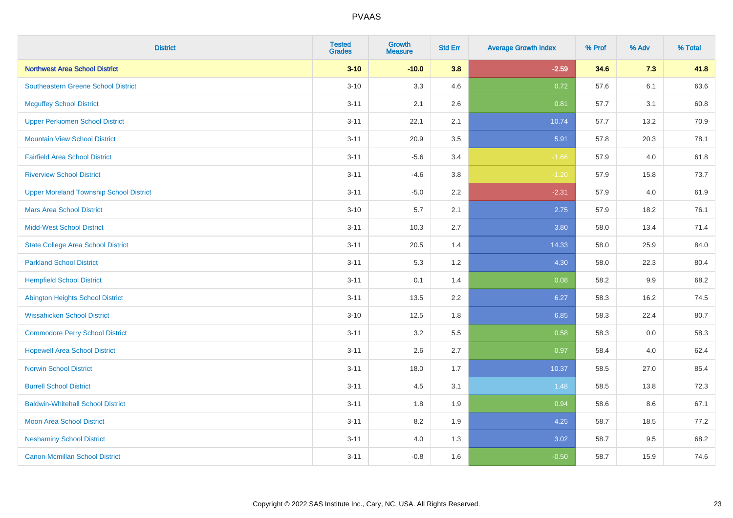| <b>District</b>                                | <b>Tested</b><br><b>Grades</b> | <b>Growth</b><br><b>Measure</b> | <b>Std Err</b> | <b>Average Growth Index</b> | % Prof | % Adv   | % Total |
|------------------------------------------------|--------------------------------|---------------------------------|----------------|-----------------------------|--------|---------|---------|
| <b>Northwest Area School District</b>          | $3 - 10$                       | $-10.0$                         | 3.8            | $-2.59$                     | 34.6   | 7.3     | 41.8    |
| <b>Southeastern Greene School District</b>     | $3 - 10$                       | 3.3                             | 4.6            | 0.72                        | 57.6   | 6.1     | 63.6    |
| <b>Mcguffey School District</b>                | $3 - 11$                       | 2.1                             | 2.6            | 0.81                        | 57.7   | 3.1     | 60.8    |
| <b>Upper Perkiomen School District</b>         | $3 - 11$                       | 22.1                            | 2.1            | 10.74                       | 57.7   | 13.2    | 70.9    |
| <b>Mountain View School District</b>           | $3 - 11$                       | 20.9                            | 3.5            | 5.91                        | 57.8   | 20.3    | 78.1    |
| <b>Fairfield Area School District</b>          | $3 - 11$                       | $-5.6$                          | 3.4            | $-1.66$                     | 57.9   | 4.0     | 61.8    |
| <b>Riverview School District</b>               | $3 - 11$                       | $-4.6$                          | 3.8            | $-1.20$                     | 57.9   | 15.8    | 73.7    |
| <b>Upper Moreland Township School District</b> | $3 - 11$                       | $-5.0$                          | 2.2            | $-2.31$                     | 57.9   | 4.0     | 61.9    |
| <b>Mars Area School District</b>               | $3 - 10$                       | 5.7                             | 2.1            | 2.75                        | 57.9   | 18.2    | 76.1    |
| <b>Midd-West School District</b>               | $3 - 11$                       | 10.3                            | 2.7            | 3.80                        | 58.0   | 13.4    | 71.4    |
| <b>State College Area School District</b>      | $3 - 11$                       | 20.5                            | 1.4            | 14.33                       | 58.0   | 25.9    | 84.0    |
| <b>Parkland School District</b>                | $3 - 11$                       | 5.3                             | 1.2            | 4.30                        | 58.0   | 22.3    | 80.4    |
| <b>Hempfield School District</b>               | $3 - 11$                       | 0.1                             | 1.4            | 0.08                        | 58.2   | $9.9\,$ | 68.2    |
| <b>Abington Heights School District</b>        | $3 - 11$                       | 13.5                            | 2.2            | 6.27                        | 58.3   | 16.2    | 74.5    |
| <b>Wissahickon School District</b>             | $3 - 10$                       | 12.5                            | 1.8            | 6.85                        | 58.3   | 22.4    | 80.7    |
| <b>Commodore Perry School District</b>         | $3 - 11$                       | 3.2                             | 5.5            | 0.58                        | 58.3   | 0.0     | 58.3    |
| <b>Hopewell Area School District</b>           | $3 - 11$                       | 2.6                             | 2.7            | 0.97                        | 58.4   | 4.0     | 62.4    |
| <b>Norwin School District</b>                  | $3 - 11$                       | 18.0                            | 1.7            | 10.37                       | 58.5   | 27.0    | 85.4    |
| <b>Burrell School District</b>                 | $3 - 11$                       | 4.5                             | 3.1            | 1.48                        | 58.5   | 13.8    | 72.3    |
| <b>Baldwin-Whitehall School District</b>       | $3 - 11$                       | 1.8                             | 1.9            | 0.94                        | 58.6   | 8.6     | 67.1    |
| <b>Moon Area School District</b>               | $3 - 11$                       | 8.2                             | 1.9            | 4.25                        | 58.7   | 18.5    | 77.2    |
| <b>Neshaminy School District</b>               | $3 - 11$                       | 4.0                             | 1.3            | 3.02                        | 58.7   | 9.5     | 68.2    |
| <b>Canon-Mcmillan School District</b>          | $3 - 11$                       | $-0.8$                          | 1.6            | $-0.50$                     | 58.7   | 15.9    | 74.6    |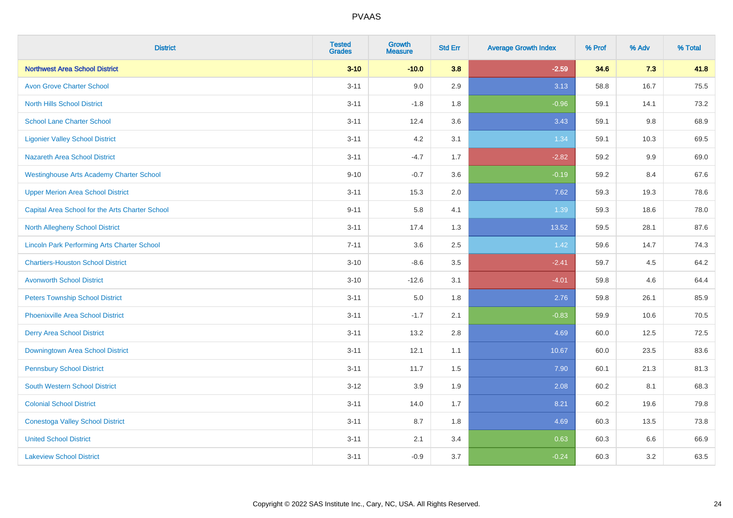| <b>District</b>                                    | <b>Tested</b><br><b>Grades</b> | <b>Growth</b><br><b>Measure</b> | <b>Std Err</b> | <b>Average Growth Index</b> | % Prof | % Adv   | % Total |
|----------------------------------------------------|--------------------------------|---------------------------------|----------------|-----------------------------|--------|---------|---------|
| <b>Northwest Area School District</b>              | $3 - 10$                       | $-10.0$                         | 3.8            | $-2.59$                     | 34.6   | 7.3     | 41.8    |
| <b>Avon Grove Charter School</b>                   | $3 - 11$                       | 9.0                             | 2.9            | 3.13                        | 58.8   | 16.7    | 75.5    |
| <b>North Hills School District</b>                 | $3 - 11$                       | $-1.8$                          | 1.8            | $-0.96$                     | 59.1   | 14.1    | 73.2    |
| <b>School Lane Charter School</b>                  | $3 - 11$                       | 12.4                            | 3.6            | 3.43                        | 59.1   | $9.8\,$ | 68.9    |
| <b>Ligonier Valley School District</b>             | $3 - 11$                       | 4.2                             | 3.1            | 1.34                        | 59.1   | 10.3    | 69.5    |
| <b>Nazareth Area School District</b>               | $3 - 11$                       | $-4.7$                          | 1.7            | $-2.82$                     | 59.2   | 9.9     | 69.0    |
| <b>Westinghouse Arts Academy Charter School</b>    | $9 - 10$                       | $-0.7$                          | 3.6            | $-0.19$                     | 59.2   | 8.4     | 67.6    |
| <b>Upper Merion Area School District</b>           | $3 - 11$                       | 15.3                            | 2.0            | 7.62                        | 59.3   | 19.3    | 78.6    |
| Capital Area School for the Arts Charter School    | $9 - 11$                       | 5.8                             | 4.1            | 1.39                        | 59.3   | 18.6    | 78.0    |
| North Allegheny School District                    | $3 - 11$                       | 17.4                            | 1.3            | 13.52                       | 59.5   | 28.1    | 87.6    |
| <b>Lincoln Park Performing Arts Charter School</b> | $7 - 11$                       | 3.6                             | 2.5            | 1.42                        | 59.6   | 14.7    | 74.3    |
| <b>Chartiers-Houston School District</b>           | $3 - 10$                       | $-8.6$                          | 3.5            | $-2.41$                     | 59.7   | 4.5     | 64.2    |
| <b>Avonworth School District</b>                   | $3 - 10$                       | $-12.6$                         | 3.1            | $-4.01$                     | 59.8   | 4.6     | 64.4    |
| <b>Peters Township School District</b>             | $3 - 11$                       | 5.0                             | 1.8            | 2.76                        | 59.8   | 26.1    | 85.9    |
| <b>Phoenixville Area School District</b>           | $3 - 11$                       | $-1.7$                          | 2.1            | $-0.83$                     | 59.9   | 10.6    | 70.5    |
| <b>Derry Area School District</b>                  | $3 - 11$                       | 13.2                            | 2.8            | 4.69                        | 60.0   | 12.5    | 72.5    |
| Downingtown Area School District                   | $3 - 11$                       | 12.1                            | 1.1            | 10.67                       | 60.0   | 23.5    | 83.6    |
| <b>Pennsbury School District</b>                   | $3 - 11$                       | 11.7                            | 1.5            | 7.90                        | 60.1   | 21.3    | 81.3    |
| <b>South Western School District</b>               | $3 - 12$                       | 3.9                             | 1.9            | 2.08                        | 60.2   | 8.1     | 68.3    |
| <b>Colonial School District</b>                    | $3 - 11$                       | 14.0                            | 1.7            | 8.21                        | 60.2   | 19.6    | 79.8    |
| <b>Conestoga Valley School District</b>            | $3 - 11$                       | 8.7                             | 1.8            | 4.69                        | 60.3   | 13.5    | 73.8    |
| <b>United School District</b>                      | $3 - 11$                       | 2.1                             | 3.4            | 0.63                        | 60.3   | 6.6     | 66.9    |
| <b>Lakeview School District</b>                    | $3 - 11$                       | $-0.9$                          | 3.7            | $-0.24$                     | 60.3   | 3.2     | 63.5    |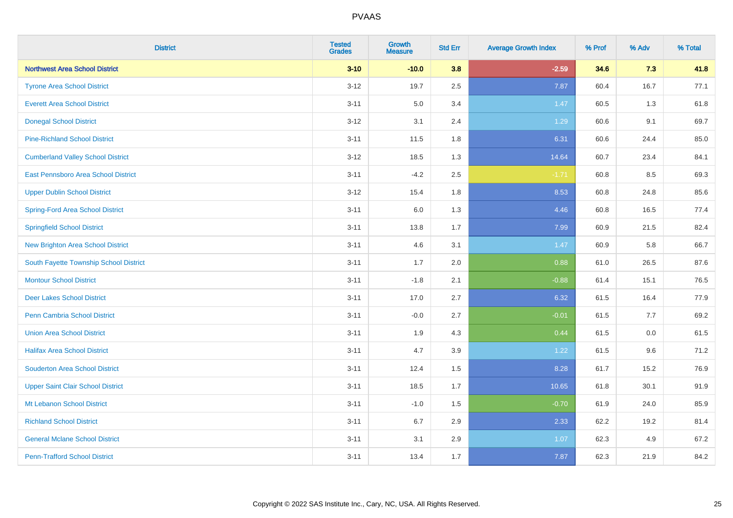| <b>District</b>                          | <b>Tested</b><br><b>Grades</b> | <b>Growth</b><br><b>Measure</b> | <b>Std Err</b> | <b>Average Growth Index</b> | % Prof | % Adv | % Total |
|------------------------------------------|--------------------------------|---------------------------------|----------------|-----------------------------|--------|-------|---------|
| <b>Northwest Area School District</b>    | $3 - 10$                       | $-10.0$                         | 3.8            | $-2.59$                     | 34.6   | 7.3   | 41.8    |
| <b>Tyrone Area School District</b>       | $3 - 12$                       | 19.7                            | 2.5            | 7.87                        | 60.4   | 16.7  | 77.1    |
| <b>Everett Area School District</b>      | $3 - 11$                       | 5.0                             | 3.4            | 1.47                        | 60.5   | 1.3   | 61.8    |
| <b>Donegal School District</b>           | $3 - 12$                       | 3.1                             | 2.4            | 1.29                        | 60.6   | 9.1   | 69.7    |
| <b>Pine-Richland School District</b>     | $3 - 11$                       | 11.5                            | 1.8            | 6.31                        | 60.6   | 24.4  | 85.0    |
| <b>Cumberland Valley School District</b> | $3 - 12$                       | 18.5                            | 1.3            | 14.64                       | 60.7   | 23.4  | 84.1    |
| East Pennsboro Area School District      | $3 - 11$                       | $-4.2$                          | 2.5            | $-1.71$                     | 60.8   | 8.5   | 69.3    |
| <b>Upper Dublin School District</b>      | $3 - 12$                       | 15.4                            | 1.8            | 8.53                        | 60.8   | 24.8  | 85.6    |
| <b>Spring-Ford Area School District</b>  | $3 - 11$                       | 6.0                             | 1.3            | 4.46                        | 60.8   | 16.5  | 77.4    |
| <b>Springfield School District</b>       | $3 - 11$                       | 13.8                            | 1.7            | 7.99                        | 60.9   | 21.5  | 82.4    |
| New Brighton Area School District        | $3 - 11$                       | 4.6                             | 3.1            | 1.47                        | 60.9   | 5.8   | 66.7    |
| South Fayette Township School District   | $3 - 11$                       | 1.7                             | 2.0            | 0.88                        | 61.0   | 26.5  | 87.6    |
| <b>Montour School District</b>           | $3 - 11$                       | $-1.8$                          | 2.1            | $-0.88$                     | 61.4   | 15.1  | 76.5    |
| <b>Deer Lakes School District</b>        | $3 - 11$                       | 17.0                            | 2.7            | 6.32                        | 61.5   | 16.4  | 77.9    |
| <b>Penn Cambria School District</b>      | $3 - 11$                       | $-0.0$                          | 2.7            | $-0.01$                     | 61.5   | 7.7   | 69.2    |
| <b>Union Area School District</b>        | $3 - 11$                       | 1.9                             | 4.3            | 0.44                        | 61.5   | 0.0   | 61.5    |
| <b>Halifax Area School District</b>      | $3 - 11$                       | 4.7                             | 3.9            | 1.22                        | 61.5   | 9.6   | 71.2    |
| <b>Souderton Area School District</b>    | $3 - 11$                       | 12.4                            | 1.5            | 8.28                        | 61.7   | 15.2  | 76.9    |
| <b>Upper Saint Clair School District</b> | $3 - 11$                       | 18.5                            | 1.7            | 10.65                       | 61.8   | 30.1  | 91.9    |
| Mt Lebanon School District               | $3 - 11$                       | $-1.0$                          | 1.5            | $-0.70$                     | 61.9   | 24.0  | 85.9    |
| <b>Richland School District</b>          | $3 - 11$                       | 6.7                             | 2.9            | 2.33                        | 62.2   | 19.2  | 81.4    |
| <b>General Mclane School District</b>    | $3 - 11$                       | 3.1                             | 2.9            | 1.07                        | 62.3   | 4.9   | 67.2    |
| <b>Penn-Trafford School District</b>     | $3 - 11$                       | 13.4                            | 1.7            | 7.87                        | 62.3   | 21.9  | 84.2    |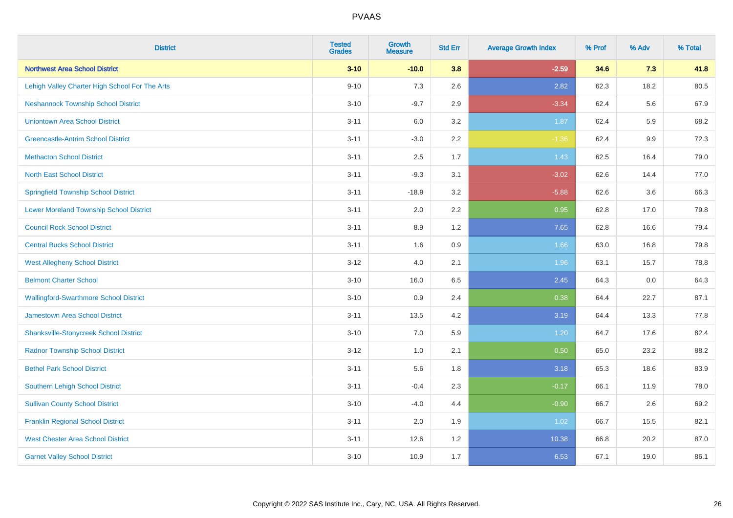| <b>District</b>                                | <b>Tested</b><br><b>Grades</b> | <b>Growth</b><br><b>Measure</b> | <b>Std Err</b> | <b>Average Growth Index</b> | % Prof | % Adv | % Total |
|------------------------------------------------|--------------------------------|---------------------------------|----------------|-----------------------------|--------|-------|---------|
| <b>Northwest Area School District</b>          | $3 - 10$                       | $-10.0$                         | 3.8            | $-2.59$                     | 34.6   | 7.3   | 41.8    |
| Lehigh Valley Charter High School For The Arts | $9 - 10$                       | 7.3                             | 2.6            | 2.82                        | 62.3   | 18.2  | 80.5    |
| <b>Neshannock Township School District</b>     | $3 - 10$                       | $-9.7$                          | 2.9            | $-3.34$                     | 62.4   | 5.6   | 67.9    |
| <b>Uniontown Area School District</b>          | $3 - 11$                       | 6.0                             | 3.2            | 1.87                        | 62.4   | 5.9   | 68.2    |
| <b>Greencastle-Antrim School District</b>      | $3 - 11$                       | $-3.0$                          | 2.2            | $-1.36$                     | 62.4   | 9.9   | 72.3    |
| <b>Methacton School District</b>               | $3 - 11$                       | 2.5                             | 1.7            | 1.43                        | 62.5   | 16.4  | 79.0    |
| <b>North East School District</b>              | $3 - 11$                       | $-9.3$                          | 3.1            | $-3.02$                     | 62.6   | 14.4  | 77.0    |
| <b>Springfield Township School District</b>    | $3 - 11$                       | $-18.9$                         | 3.2            | $-5.88$                     | 62.6   | 3.6   | 66.3    |
| <b>Lower Moreland Township School District</b> | $3 - 11$                       | 2.0                             | 2.2            | 0.95                        | 62.8   | 17.0  | 79.8    |
| <b>Council Rock School District</b>            | $3 - 11$                       | 8.9                             | 1.2            | 7.65                        | 62.8   | 16.6  | 79.4    |
| <b>Central Bucks School District</b>           | $3 - 11$                       | 1.6                             | 0.9            | 1.66                        | 63.0   | 16.8  | 79.8    |
| <b>West Allegheny School District</b>          | $3 - 12$                       | 4.0                             | 2.1            | 1.96                        | 63.1   | 15.7  | 78.8    |
| <b>Belmont Charter School</b>                  | $3 - 10$                       | 16.0                            | 6.5            | 2.45                        | 64.3   | 0.0   | 64.3    |
| <b>Wallingford-Swarthmore School District</b>  | $3 - 10$                       | 0.9                             | 2.4            | 0.38                        | 64.4   | 22.7  | 87.1    |
| <b>Jamestown Area School District</b>          | $3 - 11$                       | 13.5                            | 4.2            | 3.19                        | 64.4   | 13.3  | 77.8    |
| <b>Shanksville-Stonycreek School District</b>  | $3 - 10$                       | 7.0                             | 5.9            | 1.20                        | 64.7   | 17.6  | 82.4    |
| <b>Radnor Township School District</b>         | $3 - 12$                       | 1.0                             | 2.1            | 0.50                        | 65.0   | 23.2  | 88.2    |
| <b>Bethel Park School District</b>             | $3 - 11$                       | 5.6                             | 1.8            | 3.18                        | 65.3   | 18.6  | 83.9    |
| <b>Southern Lehigh School District</b>         | $3 - 11$                       | $-0.4$                          | 2.3            | $-0.17$                     | 66.1   | 11.9  | 78.0    |
| <b>Sullivan County School District</b>         | $3 - 10$                       | $-4.0$                          | 4.4            | $-0.90$                     | 66.7   | 2.6   | 69.2    |
| <b>Franklin Regional School District</b>       | $3 - 11$                       | 2.0                             | 1.9            | 1.02                        | 66.7   | 15.5  | 82.1    |
| <b>West Chester Area School District</b>       | $3 - 11$                       | 12.6                            | 1.2            | 10.38                       | 66.8   | 20.2  | 87.0    |
| <b>Garnet Valley School District</b>           | $3 - 10$                       | 10.9                            | 1.7            | 6.53                        | 67.1   | 19.0  | 86.1    |